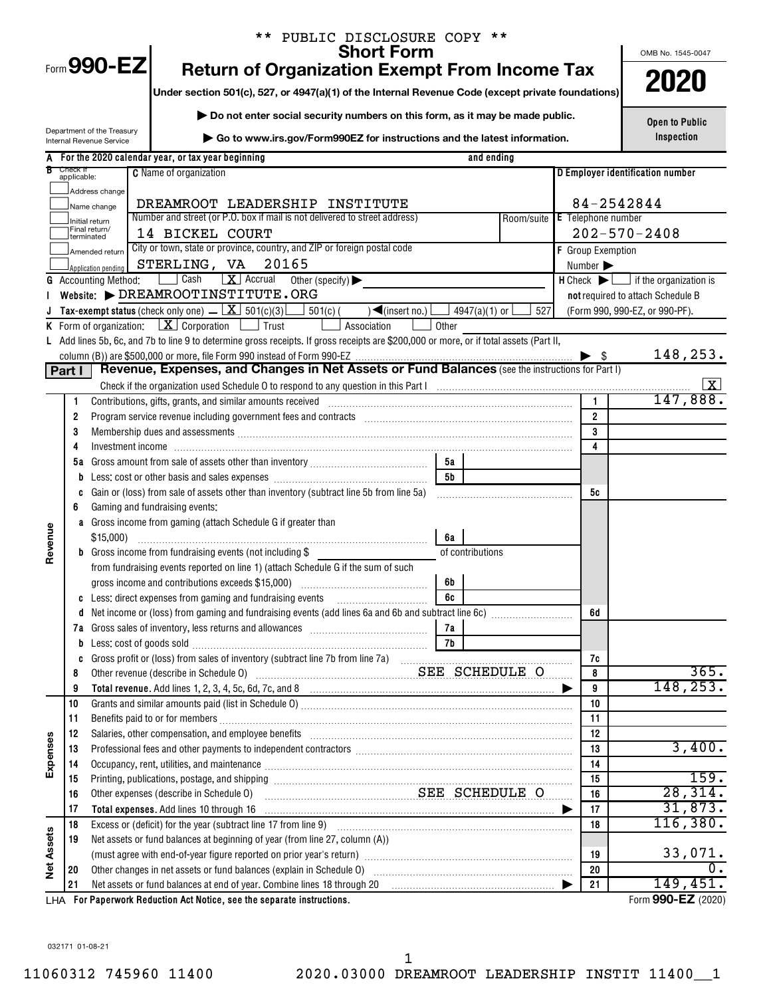|                   |                         |                                                 | ** PUBLIC DISCLOSURE COPY **<br><b>Short Form</b>                                                                                                                                                                              |                  |                        |                           |                          |  | OMB No. 1545-0047                                                            |                  |
|-------------------|-------------------------|-------------------------------------------------|--------------------------------------------------------------------------------------------------------------------------------------------------------------------------------------------------------------------------------|------------------|------------------------|---------------------------|--------------------------|--|------------------------------------------------------------------------------|------------------|
|                   |                         | Form 990-EZ                                     | <b>Return of Organization Exempt From Income Tax</b>                                                                                                                                                                           |                  |                        |                           |                          |  |                                                                              |                  |
|                   |                         |                                                 | Under section 501(c), 527, or 4947(a)(1) of the Internal Revenue Code (except private foundations)                                                                                                                             |                  |                        |                           |                          |  | 2020                                                                         |                  |
|                   |                         |                                                 | Do not enter social security numbers on this form, as it may be made public.                                                                                                                                                   |                  |                        |                           |                          |  |                                                                              |                  |
|                   |                         | Department of the Treasury                      |                                                                                                                                                                                                                                |                  |                        |                           |                          |  | <b>Open to Public</b>                                                        |                  |
|                   |                         | Internal Revenue Service                        | Go to www.irs.gov/Form990EZ for instructions and the latest information.                                                                                                                                                       |                  |                        |                           |                          |  | Inspection                                                                   |                  |
| B                 |                         |                                                 | A For the 2020 calendar year, or tax year beginning                                                                                                                                                                            |                  | and ending             |                           |                          |  |                                                                              |                  |
|                   | Check if<br>applicable: |                                                 | <b>C</b> Name of organization                                                                                                                                                                                                  |                  |                        |                           |                          |  | D Employer identification number                                             |                  |
|                   |                         | Address change                                  | DREAMROOT LEADERSHIP INSTITUTE                                                                                                                                                                                                 |                  |                        |                           | 84-2542844               |  |                                                                              |                  |
|                   |                         | Name change                                     | Number and street (or P.O. box if mail is not delivered to street address)                                                                                                                                                     |                  | Room/suite             | <b>E</b> Telephone number |                          |  |                                                                              |                  |
|                   |                         | │Initial return<br>∣Final return/<br>terminated | 14 BICKEL COURT                                                                                                                                                                                                                |                  |                        |                           |                          |  | $202 - 570 - 2408$                                                           |                  |
|                   |                         | Amended return                                  | City or town, state or province, country, and ZIP or foreign postal code                                                                                                                                                       |                  |                        |                           | F Group Exemption        |  |                                                                              |                  |
|                   |                         | Application pending                             | STERLING, VA 20165                                                                                                                                                                                                             |                  |                        |                           | Number >                 |  |                                                                              |                  |
|                   |                         | <b>G</b> Accounting Method:                     | $\boxed{\mathbf{X}}$ Accrual<br>  Cash<br>Other (specify) $\blacktriangleright$                                                                                                                                                |                  |                        |                           |                          |  | $H$ Check $\blacktriangleright$ $\boxed{\phantom{a}}$ if the organization is |                  |
|                   |                         |                                                 | Website: DREAMROOTINSTITUTE.ORG                                                                                                                                                                                                |                  |                        |                           |                          |  | not required to attach Schedule B                                            |                  |
|                   |                         |                                                 | <b>Tax-exempt status</b> (check only one) $\angle \mathbf{X}$ 501(c)(3)<br>$501(c)$ (<br>$\sqrt{\frac{2}{\text{S}}\left(\frac{1}{2}\right)}$                                                                                   |                  | 527<br>4947(a)(1) or [ |                           |                          |  | (Form 990, 990-EZ, or 990-PF).                                               |                  |
|                   |                         |                                                 | <b>K</b> Form of organization: $X$ Corporation<br>$\Box$ Trust<br>Association<br>L Add lines 5b, 6c, and 7b to line 9 to determine gross receipts. If gross receipts are \$200,000 or more, or if total assets (Part II,       | Other            |                        |                           |                          |  |                                                                              |                  |
|                   |                         |                                                 |                                                                                                                                                                                                                                |                  |                        |                           | $\blacktriangleright$ \$ |  | 148,253.                                                                     |                  |
|                   | Part I                  |                                                 | Revenue, Expenses, and Changes in Net Assets or Fund Balances (see the instructions for Part I)                                                                                                                                |                  |                        |                           |                          |  |                                                                              |                  |
|                   |                         |                                                 |                                                                                                                                                                                                                                |                  |                        |                           |                          |  |                                                                              |                  |
|                   | 1                       |                                                 |                                                                                                                                                                                                                                |                  |                        |                           | $\mathbf{1}$             |  | 147,888.                                                                     |                  |
|                   | 2                       |                                                 | Program service revenue including government fees and contracts [11] [11] non-manufacture revenues revenues in                                                                                                                 |                  |                        |                           | $\overline{2}$           |  |                                                                              |                  |
|                   | 3                       |                                                 | Membership dues and assessments [1111] Martin Martin Martin Martin Martin Martin Martin Martin Martin Martin M                                                                                                                 |                  |                        |                           |                          |  |                                                                              |                  |
|                   | 4                       |                                                 |                                                                                                                                                                                                                                |                  |                        |                           |                          |  |                                                                              |                  |
|                   | 5а                      |                                                 | 5а<br>5 <sub>b</sub>                                                                                                                                                                                                           |                  |                        |                           |                          |  |                                                                              |                  |
|                   |                         |                                                 | Gain or (loss) from sale of assets other than inventory (subtract line 5b from line 5a)                                                                                                                                        |                  |                        |                           | 5c                       |  |                                                                              |                  |
|                   | 6                       |                                                 | Gaming and fundraising events:                                                                                                                                                                                                 |                  |                        |                           |                          |  |                                                                              |                  |
|                   | a                       |                                                 | Gross income from gaming (attach Schedule G if greater than                                                                                                                                                                    |                  |                        |                           |                          |  |                                                                              |                  |
| Revenue           |                         | \$15,000)                                       |                                                                                                                                                                                                                                | 6а               |                        |                           |                          |  |                                                                              |                  |
|                   |                         |                                                 | <b>b</b> Gross income from fundraising events (not including $$$                                                                                                                                                               | of contributions |                        |                           |                          |  |                                                                              |                  |
|                   |                         |                                                 | from fundraising events reported on line 1) (attach Schedule G if the sum of such                                                                                                                                              |                  |                        |                           |                          |  |                                                                              |                  |
|                   |                         |                                                 | gross income and contributions exceeds \$15,000) manufactured in the series of the series of the series of the                                                                                                                 | 6b               |                        |                           |                          |  |                                                                              |                  |
|                   |                         |                                                 | Less: direct expenses from gaming and fundraising events                                                                                                                                                                       | 6c               |                        |                           |                          |  |                                                                              |                  |
|                   | đ                       |                                                 |                                                                                                                                                                                                                                | 7a               |                        |                           | 6d                       |  |                                                                              |                  |
|                   | 7а<br>b                 | Less: cost of goods sold                        |                                                                                                                                                                                                                                | 7b               |                        |                           |                          |  |                                                                              |                  |
|                   |                         |                                                 |                                                                                                                                                                                                                                |                  |                        |                           | 7c                       |  |                                                                              |                  |
|                   | 8                       |                                                 | SEE SCHEDULE O<br>Other revenue (describe in Schedule O)                                                                                                                                                                       |                  |                        |                           | 8                        |  |                                                                              | 365.             |
|                   | 9                       |                                                 |                                                                                                                                                                                                                                |                  |                        |                           | 9                        |  | 148, 253.                                                                    |                  |
|                   | 10                      |                                                 |                                                                                                                                                                                                                                |                  |                        |                           | 10                       |  |                                                                              |                  |
|                   | 11                      |                                                 |                                                                                                                                                                                                                                |                  |                        |                           | 11                       |  |                                                                              |                  |
|                   | 12                      |                                                 | Salaries, other compensation, and employee benefits [111] [12] manufactures in the compensation and employee benefits [11] manufactures in the compensation and employee benefits [12] manufactures in the competition of the  |                  |                        |                           | 12                       |  |                                                                              | 3,400.           |
| Expenses          | 13<br>14                |                                                 | Professional fees and other payments to independent contractors [111] [11] professional fees and other payments to independent contractors [11] professional fees and other payments to independent contractors [11] professio |                  |                        |                           | 13<br>14                 |  |                                                                              |                  |
|                   | 15                      |                                                 | Occupancy, rent, utilities, and maintenance manual content content and a final content of the main content of                                                                                                                  |                  |                        |                           | 15                       |  |                                                                              | 159.             |
|                   | 16                      |                                                 | SEE SCHEDULE O<br>Other expenses (describe in Schedule O)                                                                                                                                                                      |                  |                        |                           | 16                       |  |                                                                              | 28,314.          |
|                   | 17                      |                                                 | Total expenses. Add lines 10 through 16                                                                                                                                                                                        |                  |                        |                           | 17                       |  |                                                                              | 31,873.          |
|                   | 18                      |                                                 | Excess or (deficit) for the year (subtract line 17 from line 9)                                                                                                                                                                |                  |                        |                           | 18                       |  | 116,380.                                                                     |                  |
| <b>Net Assets</b> | 19                      |                                                 | Net assets or fund balances at beginning of year (from line 27, column (A))                                                                                                                                                    |                  |                        |                           |                          |  |                                                                              |                  |
|                   |                         |                                                 |                                                                                                                                                                                                                                |                  |                        |                           | 19                       |  |                                                                              | 33,071.          |
|                   | 20                      |                                                 |                                                                                                                                                                                                                                |                  |                        |                           | 20                       |  | 149, 451.                                                                    | $\overline{0}$ . |
|                   | 21                      |                                                 |                                                                                                                                                                                                                                |                  |                        |                           | 21                       |  |                                                                              |                  |

**For Paperwork Reduction Act Notice, see the separate instructions.** LHA Form (2020)

Form **990-EZ** (2020)

032171 01-08-21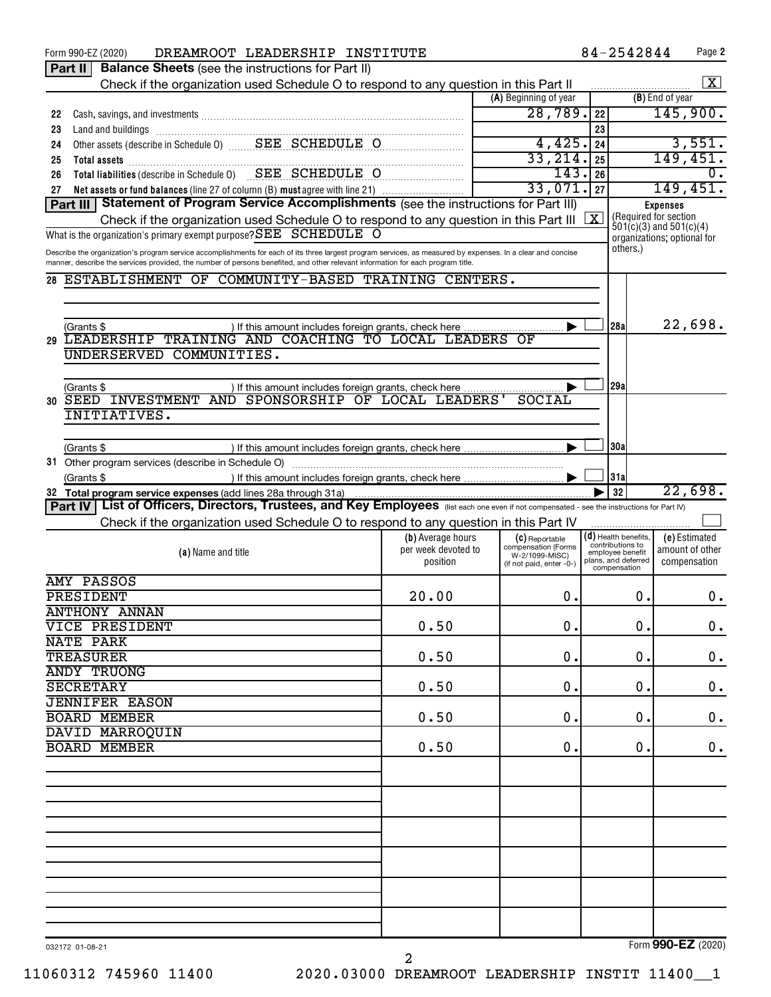| DREAMROOT LEADERSHIP INSTITUTE<br>Form 990-EZ (2020)                                                                                                        |                     |                                       |                         | 84-2542844                           | Page 2                                                     |
|-------------------------------------------------------------------------------------------------------------------------------------------------------------|---------------------|---------------------------------------|-------------------------|--------------------------------------|------------------------------------------------------------|
| <b>Balance Sheets</b> (see the instructions for Part II)<br>Part II                                                                                         |                     |                                       |                         |                                      |                                                            |
| Check if the organization used Schedule O to respond to any question in this Part II                                                                        |                     |                                       |                         |                                      | $\mathbf{X}$                                               |
|                                                                                                                                                             |                     | (A) Beginning of year                 |                         |                                      | (B) End of year                                            |
| Cash, savings, and investments [111] Cash, saving and investments [11] Cash, savings, and investments [11] [11<br>22                                        |                     | 28,789.                               | 22                      |                                      | 145,900.                                                   |
| 23                                                                                                                                                          |                     |                                       | 23                      |                                      |                                                            |
| Land and buildings<br>Other assets (describe in Schedule 0)<br>Cher assets (describe in Schedule 0)<br>CHEDULE O<br>24                                      |                     | 4,425.                                | 24                      |                                      | 3,551.                                                     |
| 25                                                                                                                                                          |                     | 33,214.                               | 25                      |                                      | 149,451.                                                   |
| Total assets<br>Total liabilities (describe in Schedule 0)<br>SEE SCHEDULE O<br>26                                                                          |                     | 143.<br>33,071.                       | 26                      |                                      | $\overline{0}$ .                                           |
| Net assets or fund balances (line 27 of column (B) must agree with line 21)<br>27                                                                           |                     | 149,451.                              |                         |                                      |                                                            |
| Part III   Statement of Program Service Accomplishments (see the instructions for Part III)                                                                 |                     |                                       |                         |                                      | <b>Expenses</b>                                            |
| Check if the organization used Schedule O to respond to any question in this Part III                                                                       |                     |                                       | $\overline{\mathbf{x}}$ |                                      | (Required for section                                      |
| What is the organization's primary exempt purpose? SEE SCHEDULE O                                                                                           |                     |                                       |                         |                                      | $501(c)(3)$ and $501(c)(4)$<br>organizations; optional for |
| Describe the organization's program service accomplishments for each of its three largest program services, as measured by expenses. In a clear and concise |                     |                                       |                         | others.)                             |                                                            |
| manner, describe the services provided, the number of persons benefited, and other relevant information for each program title.                             |                     |                                       |                         |                                      |                                                            |
| ESTABLISHMENT OF COMMUNITY-BASED TRAINING CENTERS.<br>28                                                                                                    |                     |                                       |                         |                                      |                                                            |
|                                                                                                                                                             |                     |                                       |                         |                                      |                                                            |
|                                                                                                                                                             |                     |                                       |                         |                                      |                                                            |
| (Grants \$                                                                                                                                                  |                     |                                       |                         | 28a                                  | 22,698.                                                    |
| LEADERSHIP TRAINING AND COACHING TO LOCAL LEADERS OF<br>29                                                                                                  |                     |                                       |                         |                                      |                                                            |
| UNDERSERVED COMMUNITIES.                                                                                                                                    |                     |                                       |                         |                                      |                                                            |
|                                                                                                                                                             |                     |                                       |                         |                                      |                                                            |
| (Grants \$<br>) If this amount includes foreign grants, check here                                                                                          |                     |                                       |                         | 29a                                  |                                                            |
| SPONSORSHIP OF LOCAL LEADERS'<br>SEED INVESTMENT AND<br>30                                                                                                  |                     | SOCIAL                                |                         |                                      |                                                            |
| <b>INITIATIVES.</b>                                                                                                                                         |                     |                                       |                         |                                      |                                                            |
|                                                                                                                                                             |                     |                                       |                         |                                      |                                                            |
| (Grants \$                                                                                                                                                  |                     |                                       |                         | 30a                                  |                                                            |
| 31 Other program services (describe in Schedule O)                                                                                                          |                     |                                       |                         |                                      |                                                            |
| (Grants \$                                                                                                                                                  |                     |                                       |                         | 31a                                  |                                                            |
|                                                                                                                                                             |                     |                                       |                         | 32                                   | 22,698.                                                    |
| Part IV   List of Officers, Directors, Trustees, and Key Employees (list each one even if not compensated - see the instructions for Part IV)               |                     |                                       |                         |                                      |                                                            |
| Check if the organization used Schedule O to respond to any question in this Part IV                                                                        |                     |                                       |                         |                                      |                                                            |
|                                                                                                                                                             | (b) Average hours   | (C) Reportable                        |                         | $(d)$ Health benefits,               | (e) Estimated                                              |
| (a) Name and title                                                                                                                                          | per week devoted to | compensation (Forms<br>W-2/1099-MISC) |                         | contributions to<br>employee benefit | amount of other                                            |
|                                                                                                                                                             | position            | (if not paid, enter -0-)              |                         | plans, and deferred                  |                                                            |
| <b>AMY PASSOS</b>                                                                                                                                           |                     |                                       |                         | compensation                         | compensation                                               |
| PRESIDENT                                                                                                                                                   |                     |                                       |                         |                                      |                                                            |
|                                                                                                                                                             | 20.00               | 0.                                    |                         | 0.                                   |                                                            |
|                                                                                                                                                             |                     |                                       |                         |                                      | 0.                                                         |
| <b>ANTHONY ANNAN</b>                                                                                                                                        |                     |                                       |                         |                                      |                                                            |
| VICE PRESIDENT<br>NATE PARK                                                                                                                                 | 0.50                | 0.                                    |                         | $\mathbf 0$ .                        | $\mathbf 0$ .                                              |
|                                                                                                                                                             |                     |                                       |                         |                                      |                                                            |
| <b>TREASURER</b>                                                                                                                                            | 0.50                | 0.                                    |                         | 0.                                   | $0\cdot$                                                   |
| <b>ANDY TRUONG</b><br><b>SECRETARY</b>                                                                                                                      |                     |                                       |                         |                                      |                                                            |
| <b>JENNIFER EASON</b>                                                                                                                                       | 0.50                | 0.                                    |                         | 0.                                   | $0\cdot$                                                   |
| <b>BOARD MEMBER</b>                                                                                                                                         | 0.50                | 0.                                    |                         | 0.                                   |                                                            |
|                                                                                                                                                             |                     |                                       |                         |                                      | $0\cdot$                                                   |
| DAVID MARROQUIN                                                                                                                                             |                     |                                       |                         |                                      |                                                            |
| <b>BOARD MEMBER</b>                                                                                                                                         | 0.50                | 0.                                    |                         | 0.                                   | 0.                                                         |
|                                                                                                                                                             |                     |                                       |                         |                                      |                                                            |
|                                                                                                                                                             |                     |                                       |                         |                                      |                                                            |
|                                                                                                                                                             |                     |                                       |                         |                                      |                                                            |
|                                                                                                                                                             |                     |                                       |                         |                                      |                                                            |
|                                                                                                                                                             |                     |                                       |                         |                                      |                                                            |
|                                                                                                                                                             |                     |                                       |                         |                                      |                                                            |
|                                                                                                                                                             |                     |                                       |                         |                                      |                                                            |
|                                                                                                                                                             |                     |                                       |                         |                                      |                                                            |
|                                                                                                                                                             |                     |                                       |                         |                                      |                                                            |
|                                                                                                                                                             |                     |                                       |                         |                                      |                                                            |
|                                                                                                                                                             |                     |                                       |                         |                                      |                                                            |
| 032172 01-08-21                                                                                                                                             |                     |                                       |                         |                                      | Form 990-EZ (2020)                                         |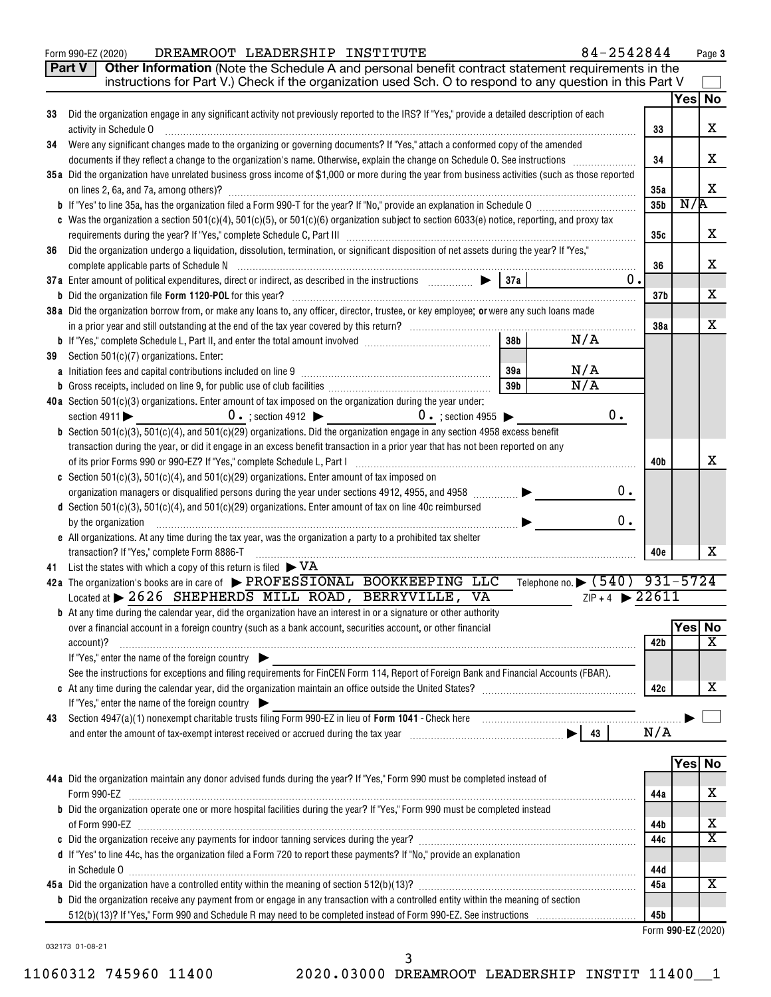|    | Other Information (Note the Schedule A and personal benefit contract statement requirements in the<br>Part V<br>instructions for Part V.) Check if the organization used Sch. O to respond to any question in this Part V                                |                 |         |                         |
|----|----------------------------------------------------------------------------------------------------------------------------------------------------------------------------------------------------------------------------------------------------------|-----------------|---------|-------------------------|
|    |                                                                                                                                                                                                                                                          |                 | Yes∣ No |                         |
| 33 | Did the organization engage in any significant activity not previously reported to the IRS? If "Yes," provide a detailed description of each                                                                                                             |                 |         |                         |
|    | activity in Schedule O                                                                                                                                                                                                                                   | 33              |         | X                       |
| 34 | Were any significant changes made to the organizing or governing documents? If "Yes," attach a conformed copy of the amended                                                                                                                             |                 |         | X                       |
|    | 35a Did the organization have unrelated business gross income of \$1,000 or more during the year from business activities (such as those reported                                                                                                        | 34              |         |                         |
|    | on lines 2, 6a, and 7a, among others)?                                                                                                                                                                                                                   | 35a             |         | X                       |
|    |                                                                                                                                                                                                                                                          | 35 <sub>b</sub> | N/R     |                         |
|    | c Was the organization a section 501(c)(4), 501(c)(5), or 501(c)(6) organization subject to section 6033(e) notice, reporting, and proxy tax                                                                                                             |                 |         |                         |
|    |                                                                                                                                                                                                                                                          | 35с             |         | X                       |
| 36 | Did the organization undergo a liquidation, dissolution, termination, or significant disposition of net assets during the year? If "Yes,"                                                                                                                |                 |         |                         |
|    |                                                                                                                                                                                                                                                          | 36              |         | X                       |
|    | 0.<br>37a Enter amount of political expenditures, direct or indirect, as described in the instructions $\Box$ $\Box$ $\Box$ 37a                                                                                                                          |                 |         |                         |
|    |                                                                                                                                                                                                                                                          | 37 <sub>b</sub> |         | X                       |
|    | 38a Did the organization borrow from, or make any loans to, any officer, director, trustee, or key employee; or were any such loans made                                                                                                                 |                 |         |                         |
|    |                                                                                                                                                                                                                                                          | 38a             |         | X                       |
|    | N/A<br>38 <sub>b</sub>                                                                                                                                                                                                                                   |                 |         |                         |
| 39 | Section 501(c)(7) organizations. Enter:                                                                                                                                                                                                                  |                 |         |                         |
|    | N/A<br>39a                                                                                                                                                                                                                                               |                 |         |                         |
|    | N/A<br>39 <sub>b</sub>                                                                                                                                                                                                                                   |                 |         |                         |
|    | 40a Section 501(c)(3) organizations. Enter amount of tax imposed on the organization during the year under:<br>0.                                                                                                                                        |                 |         |                         |
|    | section 4911 $\triangleright$ 0 $\cdot$ ; section 4912 $\triangleright$ 0 $\cdot$ ; section 4955 $\triangleright$<br><b>b</b> Section 501(c)(3), 501(c)(4), and 501(c)(29) organizations. Did the organization engage in any section 4958 excess benefit |                 |         |                         |
|    | transaction during the year, or did it engage in an excess benefit transaction in a prior year that has not been reported on any                                                                                                                         |                 |         |                         |
|    | of its prior Forms 990 or 990-EZ? If "Yes," complete Schedule L, Part I [1] [1] [1] [1] [1] [1] [1] [1] [1] [1                                                                                                                                           | 40b             |         | х                       |
|    | <b>c</b> Section 501(c)(3), 501(c)(4), and 501(c)(29) organizations. Enter amount of tax imposed on                                                                                                                                                      |                 |         |                         |
|    | 0.<br>organization managers or disqualified persons during the year under sections 4912, 4955, and 4958                                                                                                                                                  |                 |         |                         |
|    | d Section 501(c)(3), 501(c)(4), and 501(c)(29) organizations. Enter amount of tax on line 40c reimbursed                                                                                                                                                 |                 |         |                         |
|    | 0.<br>by the organization                                                                                                                                                                                                                                |                 |         |                         |
|    | e All organizations. At any time during the tax year, was the organization a party to a prohibited tax shelter                                                                                                                                           |                 |         |                         |
|    | transaction? If "Yes," complete Form 8886-T                                                                                                                                                                                                              | 40 <sub>e</sub> |         | x                       |
|    | 41 List the states with which a copy of this return is filed $\triangleright$ VA                                                                                                                                                                         |                 |         |                         |
|    | Telephone no. $\triangleright$ (540) 931-5724<br>42a The organization's books are in care of $\triangleright$ PROFESSIONAL BOOKKEEPING LLC                                                                                                               |                 |         |                         |
|    | $ZIP + 4$ 22611<br>Located at > 2626 SHEPHERDS MILL ROAD, BERRYVILLE, VA                                                                                                                                                                                 |                 |         |                         |
|    | <b>b</b> At any time during the calendar year, did the organization have an interest in or a signature or other authority                                                                                                                                |                 |         |                         |
|    | over a financial account in a foreign country (such as a bank account, securities account, or other financial                                                                                                                                            |                 | Yes No  | $\overline{\mathbf{x}}$ |
|    | account)?<br>If "Yes," enter the name of the foreign country                                                                                                                                                                                             | 42b             |         |                         |
|    | See the instructions for exceptions and filing requirements for FinCEN Form 114, Report of Foreign Bank and Financial Accounts (FBAR).                                                                                                                   |                 |         |                         |
|    |                                                                                                                                                                                                                                                          | 42c             |         | x                       |
|    | If "Yes," enter the name of the foreign country                                                                                                                                                                                                          |                 |         |                         |
| 43 |                                                                                                                                                                                                                                                          |                 |         |                         |
|    |                                                                                                                                                                                                                                                          | N/A             |         |                         |
|    |                                                                                                                                                                                                                                                          |                 |         |                         |
|    |                                                                                                                                                                                                                                                          |                 | Yes No  |                         |
|    | 44a Did the organization maintain any donor advised funds during the year? If "Yes," Form 990 must be completed instead of                                                                                                                               |                 |         |                         |
|    |                                                                                                                                                                                                                                                          | 44a             |         | X                       |
|    | b Did the organization operate one or more hospital facilities during the year? If "Yes," Form 990 must be completed instead                                                                                                                             |                 |         |                         |
|    |                                                                                                                                                                                                                                                          | 44 b            |         | х                       |
|    |                                                                                                                                                                                                                                                          | 44c             |         | $\overline{\text{X}}$   |
|    | d If "Yes" to line 44c, has the organization filed a Form 720 to report these payments? If "No," provide an explanation                                                                                                                                  |                 |         |                         |
|    | in Schedule 0                                                                                                                                                                                                                                            | 44d             |         |                         |
|    |                                                                                                                                                                                                                                                          | 45a             |         | x                       |
|    |                                                                                                                                                                                                                                                          |                 |         |                         |
|    | <b>b</b> Did the organization receive any payment from or engage in any transaction with a controlled entity within the meaning of section                                                                                                               | 45b             |         |                         |

 $_{\rm Form}$ 990-EZ (2020) DREAMROOT LEADERSHIP INSTITUTE  $_{\rm 5.00}$   $_{\rm H\,N}$   $_{\rm 8.4-2542844}$   $_{\rm 8.00}$ 

DREAMROOT LEADERSHIP INSTITUTE 84-2542844

032173 01-08-21

11060312 745960 11400 2020.03000 DREAMROOT LEADERSHIP INSTIT 11400\_\_1 3

**3**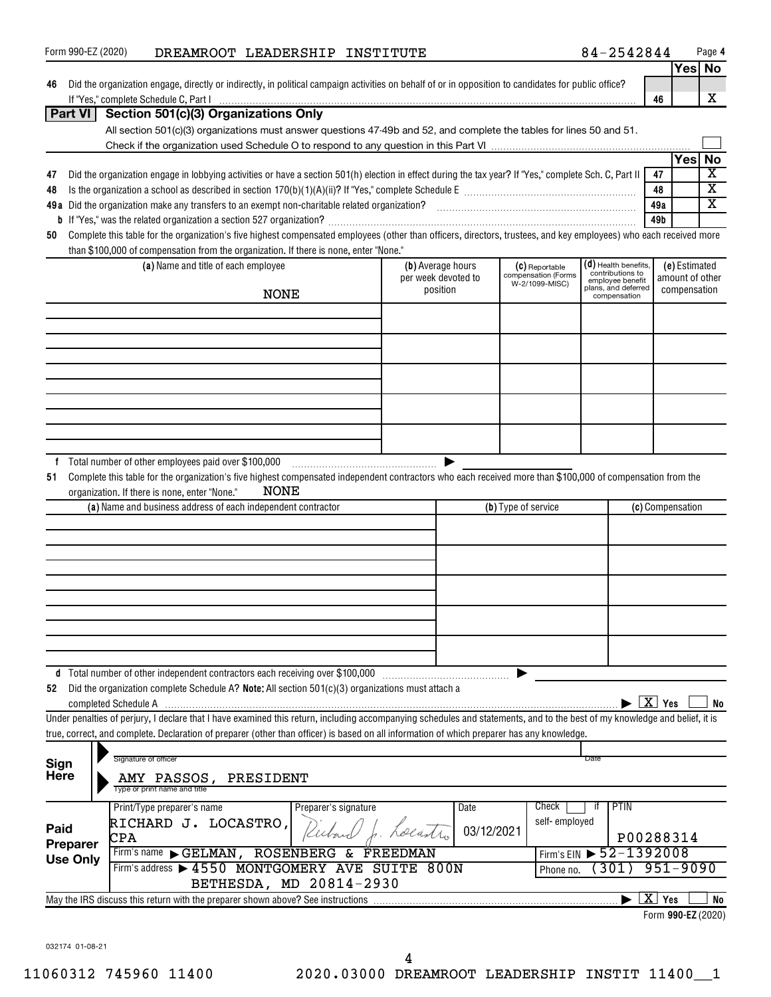|                     | Form 990-EZ (2020)                                                       |                      | DREAMROOT LEADERSHIP INSTITUTE                                                                                                                                             |                         |                         |                     |            |                     |                                       |      | 84-2542844                           |                     |                  | Page 4                  |
|---------------------|--------------------------------------------------------------------------|----------------------|----------------------------------------------------------------------------------------------------------------------------------------------------------------------------|-------------------------|-------------------------|---------------------|------------|---------------------|---------------------------------------|------|--------------------------------------|---------------------|------------------|-------------------------|
|                     |                                                                          |                      |                                                                                                                                                                            |                         |                         |                     |            |                     |                                       |      |                                      |                     |                  | Yes No                  |
| 46                  |                                                                          |                      | Did the organization engage, directly or indirectly, in political campaign activities on behalf of or in opposition to candidates for public office?                       |                         |                         |                     |            |                     |                                       |      |                                      |                     |                  |                         |
|                     |                                                                          |                      |                                                                                                                                                                            |                         |                         |                     |            |                     |                                       |      |                                      | 46                  |                  | X                       |
|                     | Part VI                                                                  |                      | Section 501(c)(3) Organizations Only                                                                                                                                       |                         |                         |                     |            |                     |                                       |      |                                      |                     |                  |                         |
|                     |                                                                          |                      | All section 501(c)(3) organizations must answer questions 47-49b and 52, and complete the tables for lines 50 and 51.                                                      |                         |                         |                     |            |                     |                                       |      |                                      |                     |                  |                         |
|                     |                                                                          |                      |                                                                                                                                                                            |                         |                         |                     |            |                     |                                       |      |                                      |                     |                  |                         |
|                     |                                                                          |                      |                                                                                                                                                                            |                         |                         |                     |            |                     |                                       |      |                                      |                     | Yes              | <b>No</b>               |
| 47                  |                                                                          |                      | Did the organization engage in lobbying activities or have a section 501(h) election in effect during the tax year? If "Yes," complete Sch. C, Part II                     |                         |                         |                     |            |                     |                                       |      |                                      | 47                  |                  | $\overline{\textbf{x}}$ |
| 48                  |                                                                          |                      |                                                                                                                                                                            |                         |                         |                     |            |                     |                                       |      |                                      | 48                  |                  | $\overline{\textbf{x}}$ |
|                     |                                                                          |                      |                                                                                                                                                                            |                         |                         |                     |            |                     |                                       |      |                                      | 49a                 |                  | $\overline{\mathtt{x}}$ |
|                     |                                                                          |                      |                                                                                                                                                                            |                         |                         |                     |            |                     |                                       |      |                                      | 49b                 |                  |                         |
| 50                  |                                                                          |                      | Complete this table for the organization's five highest compensated employees (other than officers, directors, trustees, and key employees) who each received more         |                         |                         |                     |            |                     |                                       |      |                                      |                     |                  |                         |
|                     |                                                                          |                      | than \$100,000 of compensation from the organization. If there is none, enter "None."                                                                                      |                         |                         |                     |            |                     |                                       |      |                                      |                     |                  |                         |
|                     |                                                                          |                      | (a) Name and title of each employee                                                                                                                                        |                         |                         | (b) Average hours   |            |                     |                                       |      | (d) Health benefits,                 |                     | (e) Estimated    |                         |
|                     |                                                                          |                      |                                                                                                                                                                            |                         |                         | per week devoted to |            |                     | (C) Reportable<br>compensation (Forms |      | contributions to<br>employee benefit |                     | amount of other  |                         |
|                     |                                                                          |                      |                                                                                                                                                                            | <b>NONE</b>             |                         | position            |            |                     | W-2/1099-MISC)                        |      | plans, and deferred                  |                     | compensation     |                         |
|                     |                                                                          |                      |                                                                                                                                                                            |                         |                         |                     |            |                     |                                       |      | compensation                         |                     |                  |                         |
|                     |                                                                          |                      |                                                                                                                                                                            |                         |                         |                     |            |                     |                                       |      |                                      |                     |                  |                         |
|                     |                                                                          |                      |                                                                                                                                                                            |                         |                         |                     |            |                     |                                       |      |                                      |                     |                  |                         |
|                     |                                                                          |                      |                                                                                                                                                                            |                         |                         |                     |            |                     |                                       |      |                                      |                     |                  |                         |
|                     |                                                                          |                      |                                                                                                                                                                            |                         |                         |                     |            |                     |                                       |      |                                      |                     |                  |                         |
|                     |                                                                          |                      |                                                                                                                                                                            |                         |                         |                     |            |                     |                                       |      |                                      |                     |                  |                         |
|                     |                                                                          |                      |                                                                                                                                                                            |                         |                         |                     |            |                     |                                       |      |                                      |                     |                  |                         |
|                     |                                                                          |                      |                                                                                                                                                                            |                         |                         |                     |            |                     |                                       |      |                                      |                     |                  |                         |
|                     |                                                                          |                      |                                                                                                                                                                            |                         |                         |                     |            |                     |                                       |      |                                      |                     |                  |                         |
|                     |                                                                          |                      |                                                                                                                                                                            |                         |                         |                     |            |                     |                                       |      |                                      |                     |                  |                         |
|                     |                                                                          |                      |                                                                                                                                                                            |                         |                         |                     |            |                     |                                       |      |                                      |                     |                  |                         |
|                     |                                                                          |                      |                                                                                                                                                                            |                         |                         |                     |            |                     |                                       |      |                                      |                     |                  |                         |
| 51                  |                                                                          |                      | Complete this table for the organization's five highest compensated independent contractors who each received more than \$100,000 of compensation from the                 |                         |                         |                     |            |                     |                                       |      |                                      |                     |                  |                         |
|                     |                                                                          |                      | organization. If there is none, enter "None."                                                                                                                              | NONE                    |                         |                     |            |                     |                                       |      |                                      |                     |                  |                         |
|                     |                                                                          |                      | (a) Name and business address of each independent contractor                                                                                                               |                         |                         |                     |            | (b) Type of service |                                       |      |                                      |                     | (c) Compensation |                         |
|                     |                                                                          |                      |                                                                                                                                                                            |                         |                         |                     |            |                     |                                       |      |                                      |                     |                  |                         |
|                     |                                                                          |                      |                                                                                                                                                                            |                         |                         |                     |            |                     |                                       |      |                                      |                     |                  |                         |
|                     |                                                                          |                      |                                                                                                                                                                            |                         |                         |                     |            |                     |                                       |      |                                      |                     |                  |                         |
|                     |                                                                          |                      |                                                                                                                                                                            |                         |                         |                     |            |                     |                                       |      |                                      |                     |                  |                         |
|                     |                                                                          |                      |                                                                                                                                                                            |                         |                         |                     |            |                     |                                       |      |                                      |                     |                  |                         |
|                     |                                                                          |                      |                                                                                                                                                                            |                         |                         |                     |            |                     |                                       |      |                                      |                     |                  |                         |
|                     |                                                                          |                      |                                                                                                                                                                            |                         |                         |                     |            |                     |                                       |      |                                      |                     |                  |                         |
|                     |                                                                          |                      |                                                                                                                                                                            |                         |                         |                     |            |                     |                                       |      |                                      |                     |                  |                         |
|                     |                                                                          |                      |                                                                                                                                                                            |                         |                         |                     |            |                     |                                       |      |                                      |                     |                  |                         |
|                     |                                                                          |                      |                                                                                                                                                                            |                         |                         |                     |            |                     |                                       |      |                                      |                     |                  |                         |
|                     |                                                                          |                      | d Total number of other independent contractors each receiving over \$100,000                                                                                              |                         |                         |                     |            |                     |                                       |      |                                      |                     |                  |                         |
| 52                  |                                                                          |                      | Did the organization complete Schedule A? Note: All section 501(c)(3) organizations must attach a                                                                          |                         |                         |                     |            |                     |                                       |      |                                      |                     |                  |                         |
|                     |                                                                          | completed Schedule A |                                                                                                                                                                            |                         |                         |                     |            |                     |                                       |      |                                      | $\overline{X}$ Yes  |                  | No                      |
|                     |                                                                          |                      | Under penalties of perjury, I declare that I have examined this return, including accompanying schedules and statements, and to the best of my knowledge and belief, it is |                         |                         |                     |            |                     |                                       |      |                                      |                     |                  |                         |
|                     |                                                                          |                      |                                                                                                                                                                            |                         |                         |                     |            |                     |                                       |      |                                      |                     |                  |                         |
|                     |                                                                          |                      | true, correct, and complete. Declaration of preparer (other than officer) is based on all information of which preparer has any knowledge.                                 |                         |                         |                     |            |                     |                                       |      |                                      |                     |                  |                         |
|                     |                                                                          | Signature of officer |                                                                                                                                                                            |                         |                         |                     |            |                     |                                       | Date |                                      |                     |                  |                         |
| Sign<br><b>Here</b> |                                                                          |                      |                                                                                                                                                                            |                         |                         |                     |            |                     |                                       |      |                                      |                     |                  |                         |
|                     |                                                                          |                      | AMY PASSOS, PRESIDENT<br>Type or print name and title                                                                                                                      |                         |                         |                     |            |                     |                                       |      |                                      |                     |                  |                         |
|                     |                                                                          |                      |                                                                                                                                                                            |                         |                         |                     |            |                     |                                       |      |                                      |                     |                  |                         |
|                     |                                                                          |                      | Print/Type preparer's name                                                                                                                                                 |                         | Preparer's signature    |                     | Date       |                     | Check                                 | if   | PTIN                                 |                     |                  |                         |
| Paid                |                                                                          |                      | RICHARD J. LOCASTRO,                                                                                                                                                       |                         |                         | Locatro             | 03/12/2021 |                     | self-employed                         |      |                                      |                     |                  |                         |
|                     | Preparer                                                                 | CPA                  |                                                                                                                                                                            |                         |                         |                     |            |                     |                                       |      | P00288314                            |                     |                  |                         |
|                     | Firm's name GELMAN, ROSENBERG<br><b>FREEDMAN</b><br>&<br><b>Use Only</b> |                      |                                                                                                                                                                            |                         | Firm's EIN ▶ 52-1392008 |                     |            |                     |                                       |      |                                      |                     |                  |                         |
|                     |                                                                          |                      | Firm's address > 4550 MONTGOMERY AVE SUITE 800N                                                                                                                            |                         |                         |                     |            |                     | Phone no.                             |      | 301)                                 |                     | $951 - 9090$     |                         |
|                     |                                                                          |                      |                                                                                                                                                                            | BETHESDA, MD 20814-2930 |                         |                     |            |                     |                                       |      |                                      |                     |                  |                         |
|                     |                                                                          |                      | May the IRS discuss this return with the preparer shown above? See instructions                                                                                            |                         |                         |                     |            |                     |                                       |      |                                      | $\mathbf{X}$<br>Yes |                  | No                      |
|                     |                                                                          |                      |                                                                                                                                                                            |                         |                         |                     |            |                     |                                       |      |                                      |                     |                  | Form 990-EZ (2020)      |

032174 01-08-21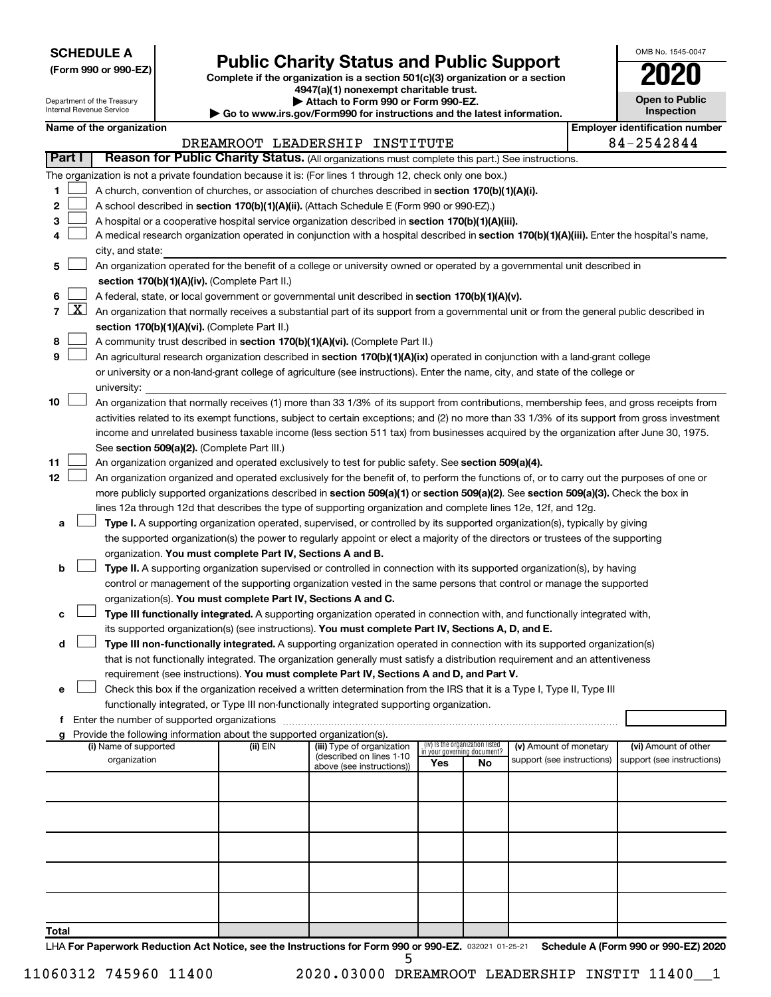| <b>SCHEDULE A</b> |  |
|-------------------|--|
|-------------------|--|

Department of the Treasury Internal Revenue Service

| (Form 990 or 990-EZ) |  |  |  |  |
|----------------------|--|--|--|--|
|----------------------|--|--|--|--|

# **Public Charity Status and Public Support**

Complete if the organization is a section 501(c)(3) organization or a section

**4947(a)(1) nonexempt charitable trust.**

**| Attach to Form 990 or Form 990-EZ.** 

**| Go to www.irs.gov/Form990 for instructions and the latest information.**

| OMB No. 1545-0047                   |
|-------------------------------------|
| 2020                                |
| <b>Open to Public</b><br>Inspection |

**Employer identification number** 

|        | Name or the organization                                                                                  | Employer identification nu |
|--------|-----------------------------------------------------------------------------------------------------------|----------------------------|
|        | DREAMROOT LEADERSHIP INSTITUTE                                                                            | 84-2542844                 |
| Part I | Reason for Public Charity Status. (All organizations must complete this part.) See instructions.          |                            |
|        | The organization is not a private foundation because it is: (For lines 1 through 12, check only one box.) |                            |
|        | A church, convention of churches, or association of churches described in section 170(b)(1)(A)(i).        |                            |
| 2      | A school described in section 170(b)(1)(A)(ii). (Attach Schedule E (Form 990 or 990-EZ).)                 |                            |
|        | A hospital or a cooperative hospital service organization described in <b>section 170(b)(1)(A)(iii)</b> , |                            |

|  | A school described in section 170(b)(1)(A)(ii). (Attach Schedule E (Form 990 or 990-EZ).) |  |  |
|--|-------------------------------------------------------------------------------------------|--|--|
|  |                                                                                           |  |  |

- A hospital or a cooperative hospital service organization described in **section 170(b)(1)(A)(iii).**
- **4** A medical research organization operated in conjunction with a hospital described in **section 170(b)(1)(A)(iii).** Enter the hospital's name, city, and state:  $\Box$
- **5** † **section 170(b)(1)(A)(iv).**  (Complete Part II.) An organization operated for the benefit of a college or university owned or operated by a governmental unit described in
- **6** A federal, state, or local government or governmental unit described in section 170(b)(1)(A)(v).  $\Box$
- **7**  $[X]$  An organization that normally receives a substantial part of its support from a governmental unit or from the general public described in **section 170(b)(1)(A)(vi).** (Complete Part II.)
- **8** A community trust described in **section 170(b)(1)(A)(vi).** (Complete Part II.)  $\Box$
- **9** An agricultural research organization described in **section 170(b)(1)(A)(ix)** operated in conjunction with a land-grant college or university or a non-land-grant college of agriculture (see instructions). Enter the name, city, and state of the college or university:  $\Box$
- **10** † See section 509(a)(2). (Complete Part III.) An organization that normally receives (1) more than 33 1/3% of its support from contributions, membership fees, and gross receipts from activities related to its exempt functions, subject to certain exceptions; and (2) no more than 33 1/3% of its support from gross investment income and unrelated business taxable income (less section 511 tax) from businesses acquired by the organization after June 30, 1975.
- **11** An organization organized and operated exclusively to test for public safety. See **section 509(a)(4).**  $\Box$
- **12** more publicly supported organizations described in section 509(a)(1) or section 509(a)(2). See section 509(a)(3). Check the box in An organization organized and operated exclusively for the benefit of, to perform the functions of, or to carry out the purposes of one or lines 12a through 12d that describes the type of supporting organization and complete lines 12e, 12f, and 12g.  $\Box$ 
	- **a Type I.** A supporting organization operated, supervised, or controlled by its supported organization(s), typically by giving organization. You must complete Part IV, Sections A and B. the supported organization(s) the power to regularly appoint or elect a majority of the directors or trustees of the supporting
	- **b Type II.** A supporting organization supervised or controlled in connection with its supported organization(s), by having organization(s). You must complete Part IV, Sections A and C. control or management of the supporting organization vested in the same persons that control or manage the supported  $\Box$
	- **c Type III functionally integrated.** A supporting organization operated in connection with, and functionally integrated with, its supported organization(s) (see instructions). **You must complete Part IV, Sections A, D, and E.**  $\Box$
	- **d Type III non-functionally integrated.** A supporting organization operated in connection with its supported organization(s) requirement (see instructions). **You must complete Part IV, Sections A and D, and Part V.** that is not functionally integrated. The organization generally must satisfy a distribution requirement and an attentiveness  $\Box$
	- **e** Check this box if the organization received a written determination from the IRS that it is a Type I, Type II, Type III functionally integrated, or Type III non-functionally integrated supporting organization.  $\Box$
	- **f** Enter the number of supported organizations ~~~~~~~~~~~~~~~~~~~~~~~~~~~~~~~~~~~~~

| Provide the following information about the supported organization(s).<br>g |          |                            |                                                                |     |                            |                            |
|-----------------------------------------------------------------------------|----------|----------------------------|----------------------------------------------------------------|-----|----------------------------|----------------------------|
| (i) Name of supported                                                       | (ii) EIN | (iii) Type of organization | (iv) Is the organization listed<br>in your governing document? |     | (v) Amount of monetary     | (vi) Amount of other       |
| organization                                                                |          | (described on lines 1-10   | Yes                                                            | No. | support (see instructions) | support (see instructions) |
|                                                                             |          | above (see instructions))  |                                                                |     |                            |                            |
|                                                                             |          |                            |                                                                |     |                            |                            |
|                                                                             |          |                            |                                                                |     |                            |                            |
|                                                                             |          |                            |                                                                |     |                            |                            |
|                                                                             |          |                            |                                                                |     |                            |                            |
|                                                                             |          |                            |                                                                |     |                            |                            |
|                                                                             |          |                            |                                                                |     |                            |                            |
|                                                                             |          |                            |                                                                |     |                            |                            |
|                                                                             |          |                            |                                                                |     |                            |                            |
|                                                                             |          |                            |                                                                |     |                            |                            |
|                                                                             |          |                            |                                                                |     |                            |                            |
| Total                                                                       |          |                            |                                                                |     |                            |                            |

LHA For Paperwork Reduction Act Notice, see the Instructions for Form 990 or 990-EZ. 032021 01-25-21 Schedule A (Form 990 or 990-EZ) 2020 5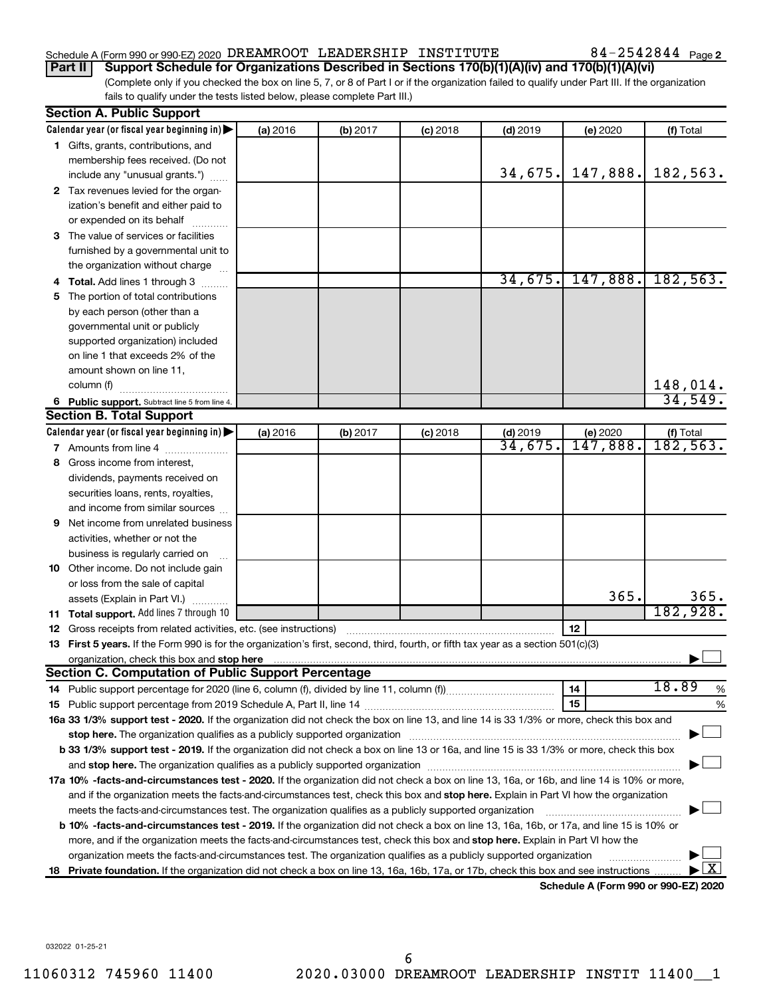**Part II Support Schedule for Organizations Described in Sections 170(b)(1)(A)(iv) and 170(b)(1)(A)(vi)**

(Complete only if you checked the box on line 5, 7, or 8 of Part I or if the organization failed to qualify under Part III. If the organization fails to qualify under the tests listed below, please complete Part III.)

|    | <b>Section A. Public Support</b>                                                                                                                                                                                              |          |          |            |                           |                                      |                                      |
|----|-------------------------------------------------------------------------------------------------------------------------------------------------------------------------------------------------------------------------------|----------|----------|------------|---------------------------|--------------------------------------|--------------------------------------|
|    | Calendar year (or fiscal year beginning in)                                                                                                                                                                                   | (a) 2016 | (b) 2017 | $(c)$ 2018 | $(d)$ 2019                | (e) 2020                             | (f) Total                            |
|    | 1 Gifts, grants, contributions, and                                                                                                                                                                                           |          |          |            |                           |                                      |                                      |
|    | membership fees received. (Do not                                                                                                                                                                                             |          |          |            |                           |                                      |                                      |
|    | include any "unusual grants.")                                                                                                                                                                                                |          |          |            | 34,675.                   | 147,888.                             | 182,563.                             |
|    | 2 Tax revenues levied for the organ-                                                                                                                                                                                          |          |          |            |                           |                                      |                                      |
|    | ization's benefit and either paid to                                                                                                                                                                                          |          |          |            |                           |                                      |                                      |
|    | or expended on its behalf                                                                                                                                                                                                     |          |          |            |                           |                                      |                                      |
|    | 3 The value of services or facilities                                                                                                                                                                                         |          |          |            |                           |                                      |                                      |
|    | furnished by a governmental unit to                                                                                                                                                                                           |          |          |            |                           |                                      |                                      |
|    | the organization without charge                                                                                                                                                                                               |          |          |            |                           |                                      |                                      |
|    | <b>Total.</b> Add lines 1 through 3                                                                                                                                                                                           |          |          |            | 34,675.                   | 147,888.                             | 182, 563.                            |
| 5  | The portion of total contributions                                                                                                                                                                                            |          |          |            |                           |                                      |                                      |
|    | by each person (other than a                                                                                                                                                                                                  |          |          |            |                           |                                      |                                      |
|    | governmental unit or publicly                                                                                                                                                                                                 |          |          |            |                           |                                      |                                      |
|    | supported organization) included                                                                                                                                                                                              |          |          |            |                           |                                      |                                      |
|    | on line 1 that exceeds 2% of the                                                                                                                                                                                              |          |          |            |                           |                                      |                                      |
|    | amount shown on line 11,                                                                                                                                                                                                      |          |          |            |                           |                                      |                                      |
|    | column (f)                                                                                                                                                                                                                    |          |          |            |                           |                                      | 148,014.                             |
|    | 6 Public support. Subtract line 5 from line 4.                                                                                                                                                                                |          |          |            |                           |                                      | 34,549.                              |
|    | <b>Section B. Total Support</b>                                                                                                                                                                                               |          |          |            |                           |                                      |                                      |
|    | Calendar year (or fiscal year beginning in)                                                                                                                                                                                   | (a) 2016 | (b) 2017 | $(c)$ 2018 | $\frac{(d) 2019}{34,675}$ |                                      | $\frac{f(f) \text{Total}}{182,563.}$ |
|    | 7 Amounts from line 4                                                                                                                                                                                                         |          |          |            |                           | (e) $2020$<br>$147, 888$ .           |                                      |
| 8  | Gross income from interest,                                                                                                                                                                                                   |          |          |            |                           |                                      |                                      |
|    | dividends, payments received on                                                                                                                                                                                               |          |          |            |                           |                                      |                                      |
|    | securities loans, rents, royalties,                                                                                                                                                                                           |          |          |            |                           |                                      |                                      |
|    | and income from similar sources                                                                                                                                                                                               |          |          |            |                           |                                      |                                      |
| 9  | Net income from unrelated business                                                                                                                                                                                            |          |          |            |                           |                                      |                                      |
|    | activities, whether or not the                                                                                                                                                                                                |          |          |            |                           |                                      |                                      |
|    | business is regularly carried on                                                                                                                                                                                              |          |          |            |                           |                                      |                                      |
|    | 10 Other income. Do not include gain                                                                                                                                                                                          |          |          |            |                           |                                      |                                      |
|    | or loss from the sale of capital                                                                                                                                                                                              |          |          |            |                           |                                      |                                      |
|    | assets (Explain in Part VI.)                                                                                                                                                                                                  |          |          |            |                           | 365.                                 | 365.                                 |
|    | 11 Total support. Add lines 7 through 10                                                                                                                                                                                      |          |          |            |                           |                                      | 182,928.                             |
| 12 | Gross receipts from related activities, etc. (see instructions)                                                                                                                                                               |          |          |            |                           | 12                                   |                                      |
|    | 13 First 5 years. If the Form 990 is for the organization's first, second, third, fourth, or fifth tax year as a section 501(c)(3)                                                                                            |          |          |            |                           |                                      |                                      |
|    |                                                                                                                                                                                                                               |          |          |            |                           |                                      |                                      |
|    | <b>Section C. Computation of Public Support Percentage</b>                                                                                                                                                                    |          |          |            |                           |                                      |                                      |
|    |                                                                                                                                                                                                                               |          |          |            |                           | 14                                   | 18.89<br>%                           |
|    |                                                                                                                                                                                                                               |          |          |            |                           | 15                                   | %                                    |
|    | 16a 33 1/3% support test - 2020. If the organization did not check the box on line 13, and line 14 is 33 1/3% or more, check this box and                                                                                     |          |          |            |                           |                                      |                                      |
|    | stop here. The organization qualifies as a publicly supported organization manufaction manufacture or the organization manufacture or the organization manufacture or the organization of the state of the state of the state |          |          |            |                           |                                      |                                      |
|    | b 33 1/3% support test - 2019. If the organization did not check a box on line 13 or 16a, and line 15 is 33 1/3% or more, check this box                                                                                      |          |          |            |                           |                                      |                                      |
|    |                                                                                                                                                                                                                               |          |          |            |                           |                                      |                                      |
|    | 17a 10% -facts-and-circumstances test - 2020. If the organization did not check a box on line 13, 16a, or 16b, and line 14 is 10% or more,                                                                                    |          |          |            |                           |                                      |                                      |
|    | and if the organization meets the facts-and-circumstances test, check this box and stop here. Explain in Part VI how the organization                                                                                         |          |          |            |                           |                                      |                                      |
|    | meets the facts-and-circumstances test. The organization qualifies as a publicly supported organization                                                                                                                       |          |          |            |                           |                                      |                                      |
|    | <b>b 10% -facts-and-circumstances test - 2019.</b> If the organization did not check a box on line 13, 16a, 16b, or 17a, and line 15 is 10% or                                                                                |          |          |            |                           |                                      |                                      |
|    | more, and if the organization meets the facts-and-circumstances test, check this box and stop here. Explain in Part VI how the                                                                                                |          |          |            |                           |                                      |                                      |
|    | organization meets the facts-and-circumstances test. The organization qualifies as a publicly supported organization                                                                                                          |          |          |            |                           |                                      |                                      |
| 18 | Private foundation. If the organization did not check a box on line 13, 16a, 16b, 17a, or 17b, check this box and see instructions                                                                                            |          |          |            |                           | Schodule A (Form 990 or 990-F7) 2020 |                                      |

**Schedule A (Form 990 or 990-EZ) 2020**

032022 01-25-21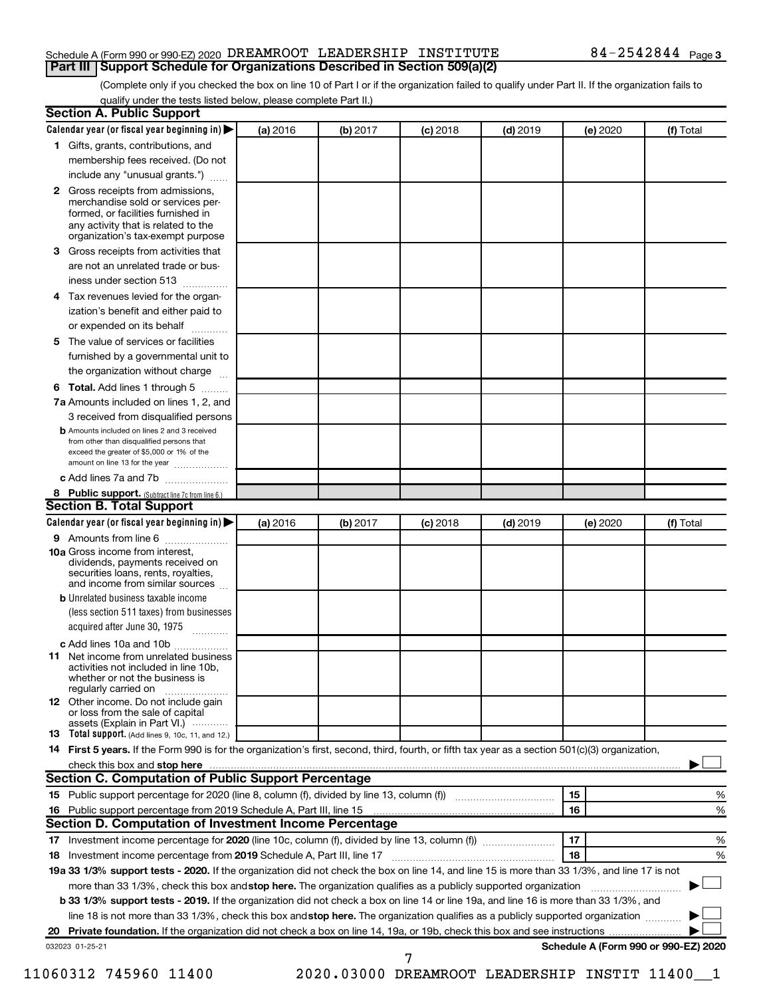#### Schedule A (Form 990 or 990-EZ) 2020 DREAMROOT LEADERSHIP INSTITUTE  $\,$  84 - 2542844  $\,$  Page **Part III Support Schedule for Organizations Described in Section 509(a)(2)**

(Complete only if you checked the box on line 10 of Part I or if the organization failed to qualify under Part II. If the organization fails to qualify under the tests listed below, please complete Part II.)

| <b>Section A. Public Support</b>                                                                                                                                                                                               |          |          |            |            |          |                                      |
|--------------------------------------------------------------------------------------------------------------------------------------------------------------------------------------------------------------------------------|----------|----------|------------|------------|----------|--------------------------------------|
| Calendar year (or fiscal year beginning in)                                                                                                                                                                                    | (a) 2016 | (b) 2017 | $(c)$ 2018 | $(d)$ 2019 | (e) 2020 | (f) Total                            |
| 1 Gifts, grants, contributions, and                                                                                                                                                                                            |          |          |            |            |          |                                      |
| membership fees received. (Do not                                                                                                                                                                                              |          |          |            |            |          |                                      |
| include any "unusual grants.")                                                                                                                                                                                                 |          |          |            |            |          |                                      |
| 2 Gross receipts from admissions,<br>merchandise sold or services per-<br>formed, or facilities furnished in<br>any activity that is related to the<br>organization's tax-exempt purpose                                       |          |          |            |            |          |                                      |
| 3 Gross receipts from activities that                                                                                                                                                                                          |          |          |            |            |          |                                      |
| are not an unrelated trade or bus-                                                                                                                                                                                             |          |          |            |            |          |                                      |
| iness under section 513                                                                                                                                                                                                        |          |          |            |            |          |                                      |
| 4 Tax revenues levied for the organ-                                                                                                                                                                                           |          |          |            |            |          |                                      |
| ization's benefit and either paid to                                                                                                                                                                                           |          |          |            |            |          |                                      |
| or expended on its behalf                                                                                                                                                                                                      |          |          |            |            |          |                                      |
| 5 The value of services or facilities                                                                                                                                                                                          |          |          |            |            |          |                                      |
| furnished by a governmental unit to                                                                                                                                                                                            |          |          |            |            |          |                                      |
| the organization without charge                                                                                                                                                                                                |          |          |            |            |          |                                      |
| 6 Total. Add lines 1 through 5                                                                                                                                                                                                 |          |          |            |            |          |                                      |
| 7a Amounts included on lines 1, 2, and                                                                                                                                                                                         |          |          |            |            |          |                                      |
| 3 received from disqualified persons                                                                                                                                                                                           |          |          |            |            |          |                                      |
| <b>b</b> Amounts included on lines 2 and 3 received<br>from other than disqualified persons that<br>exceed the greater of \$5,000 or 1% of the<br>amount on line 13 for the year                                               |          |          |            |            |          |                                      |
| c Add lines 7a and 7b                                                                                                                                                                                                          |          |          |            |            |          |                                      |
| 8 Public support. (Subtract line 7c from line 6.)                                                                                                                                                                              |          |          |            |            |          |                                      |
| <b>Section B. Total Support</b>                                                                                                                                                                                                |          |          |            |            |          |                                      |
| Calendar year (or fiscal year beginning in)                                                                                                                                                                                    | (a) 2016 | (b) 2017 | $(c)$ 2018 | $(d)$ 2019 | (e) 2020 | (f) Total                            |
| <b>9</b> Amounts from line 6                                                                                                                                                                                                   |          |          |            |            |          |                                      |
| <b>10a</b> Gross income from interest,<br>dividends, payments received on<br>securities loans, rents, royalties,<br>and income from similar sources                                                                            |          |          |            |            |          |                                      |
| <b>b</b> Unrelated business taxable income                                                                                                                                                                                     |          |          |            |            |          |                                      |
| (less section 511 taxes) from businesses                                                                                                                                                                                       |          |          |            |            |          |                                      |
| acquired after June 30, 1975<br>$\overline{\phantom{a}}$                                                                                                                                                                       |          |          |            |            |          |                                      |
| c Add lines 10a and 10b                                                                                                                                                                                                        |          |          |            |            |          |                                      |
| 11 Net income from unrelated business<br>activities not included in line 10b.<br>whether or not the business is<br>regularly carried on                                                                                        |          |          |            |            |          |                                      |
| <b>12</b> Other income. Do not include gain<br>or loss from the sale of capital<br>assets (Explain in Part VI.)                                                                                                                |          |          |            |            |          |                                      |
| <b>13</b> Total support. (Add lines 9, 10c, 11, and 12.)                                                                                                                                                                       |          |          |            |            |          |                                      |
| 14 First 5 years. If the Form 990 is for the organization's first, second, third, fourth, or fifth tax year as a section 501(c)(3) organization,                                                                               |          |          |            |            |          |                                      |
| check this box and stop here manufactured and stop here and stop here are constructed and stop here and stop here and stop here and stop here and stop here and stop here and stop here are all the stop of the stop of the st |          |          |            |            |          |                                      |
| Section C. Computation of Public Support Percentage                                                                                                                                                                            |          |          |            |            |          |                                      |
|                                                                                                                                                                                                                                |          |          |            |            | 15       | ℅                                    |
| 16 Public support percentage from 2019 Schedule A, Part III, line 15                                                                                                                                                           |          |          |            |            | 16       | %                                    |
| Section D. Computation of Investment Income Percentage                                                                                                                                                                         |          |          |            |            |          |                                      |
|                                                                                                                                                                                                                                |          |          |            |            | 17       | %                                    |
| 18 Investment income percentage from 2019 Schedule A, Part III, line 17                                                                                                                                                        |          |          |            |            | 18       | %                                    |
| 19a 33 1/3% support tests - 2020. If the organization did not check the box on line 14, and line 15 is more than 33 1/3%, and line 17 is not                                                                                   |          |          |            |            |          |                                      |
| more than 33 1/3%, check this box and stop here. The organization qualifies as a publicly supported organization                                                                                                               |          |          |            |            |          |                                      |
| b 33 1/3% support tests - 2019. If the organization did not check a box on line 14 or line 19a, and line 16 is more than 33 1/3%, and                                                                                          |          |          |            |            |          |                                      |
| line 18 is not more than 33 1/3%, check this box and stop here. The organization qualifies as a publicly supported organization                                                                                                |          |          |            |            |          |                                      |
|                                                                                                                                                                                                                                |          |          |            |            |          |                                      |
| 032023 01-25-21                                                                                                                                                                                                                |          |          | 7          |            |          | Schedule A (Form 990 or 990-EZ) 2020 |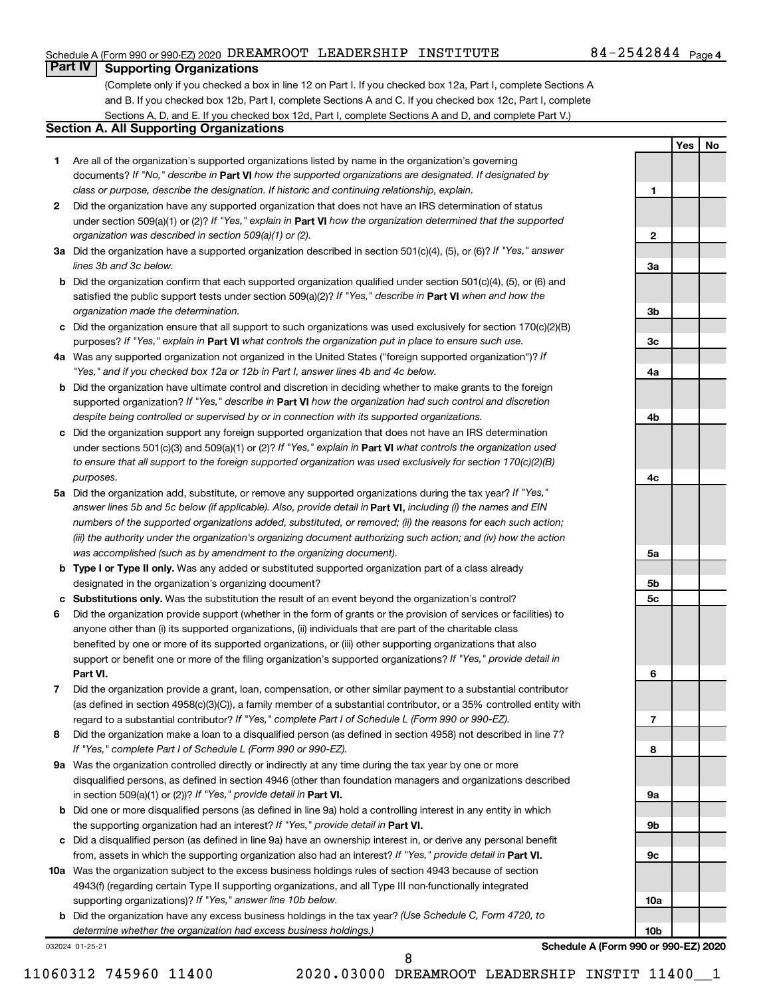**1**

**2**

**3a**

**3b**

**3c**

**4a**

**4b**

**4c**

**5a**

**5b 5c**

**6**

**7**

**8**

**9a**

**9b**

**9c**

**10a**

**10b**

**Schedule A (Form 990 or 990-EZ) 2020**

**Yes No**

# **Part IV Supporting Organizations**

(Complete only if you checked a box in line 12 on Part I. If you checked box 12a, Part I, complete Sections A and B. If you checked box 12b, Part I, complete Sections A and C. If you checked box 12c, Part I, complete Sections A, D, and E. If you checked box 12d, Part I, complete Sections A and D, and complete Part V.)

# **Section A. All Supporting Organizations**

- **1** Are all of the organization's supported organizations listed by name in the organization's governing documents? If "No," describe in Part VI how the supported organizations are designated. If designated by *class or purpose, describe the designation. If historic and continuing relationship, explain.*
- **2** Did the organization have any supported organization that does not have an IRS determination of status under section 509(a)(1) or (2)? If "Yes," explain in Part **VI** how the organization determined that the supported *organization was described in section 509(a)(1) or (2).*
- **3a** Did the organization have a supported organization described in section 501(c)(4), (5), or (6)? If "Yes," answer *lines 3b and 3c below.*
- **b** Did the organization confirm that each supported organization qualified under section 501(c)(4), (5), or (6) and satisfied the public support tests under section 509(a)(2)? If "Yes," describe in Part VI when and how the *organization made the determination.*
- **c** Did the organization ensure that all support to such organizations was used exclusively for section 170(c)(2)(B) purposes? If "Yes," explain in Part VI what controls the organization put in place to ensure such use.
- **4 a** *If* Was any supported organization not organized in the United States ("foreign supported organization")? *"Yes," and if you checked box 12a or 12b in Part I, answer lines 4b and 4c below.*
- **b** Did the organization have ultimate control and discretion in deciding whether to make grants to the foreign supported organization? If "Yes," describe in Part VI how the organization had such control and discretion *despite being controlled or supervised by or in connection with its supported organizations.*
- **c** Did the organization support any foreign supported organization that does not have an IRS determination under sections 501(c)(3) and 509(a)(1) or (2)? If "Yes," explain in Part VI what controls the organization used *to ensure that all support to the foreign supported organization was used exclusively for section 170(c)(2)(B) purposes.*
- **5a** Did the organization add, substitute, or remove any supported organizations during the tax year? If "Yes," answer lines 5b and 5c below (if applicable). Also, provide detail in **Part VI,** including (i) the names and EIN *numbers of the supported organizations added, substituted, or removed; (ii) the reasons for each such action; (iii) the authority under the organization's organizing document authorizing such action; and (iv) how the action was accomplished (such as by amendment to the organizing document).*
- **b Type I or Type II only.** Was any added or substituted supported organization part of a class already designated in the organization's organizing document?
- **c Substitutions only.**  Was the substitution the result of an event beyond the organization's control?
- **6** Did the organization provide support (whether in the form of grants or the provision of services or facilities) to **Part VI.** support or benefit one or more of the filing organization's supported organizations? If "Yes," provide detail in anyone other than (i) its supported organizations, (ii) individuals that are part of the charitable class benefited by one or more of its supported organizations, or (iii) other supporting organizations that also
- **7** Did the organization provide a grant, loan, compensation, or other similar payment to a substantial contributor regard to a substantial contributor? If "Yes," complete Part I of Schedule L (Form 990 or 990-EZ). (as defined in section 4958(c)(3)(C)), a family member of a substantial contributor, or a 35% controlled entity with
- **8** Did the organization make a loan to a disqualified person (as defined in section 4958) not described in line 7? *If "Yes," complete Part I of Schedule L (Form 990 or 990-EZ).*
- **9 a** Was the organization controlled directly or indirectly at any time during the tax year by one or more in section 509(a)(1) or (2))? If "Yes," provide detail in **Part VI.** disqualified persons, as defined in section 4946 (other than foundation managers and organizations described
- **b** Did one or more disqualified persons (as defined in line 9a) hold a controlling interest in any entity in which the supporting organization had an interest? If "Yes," provide detail in Part VI.
- **c** Did a disqualified person (as defined in line 9a) have an ownership interest in, or derive any personal benefit from, assets in which the supporting organization also had an interest? If "Yes," provide detail in Part VI.
- **10 a** Was the organization subject to the excess business holdings rules of section 4943 because of section supporting organizations)? If "Yes," answer line 10b below. 4943(f) (regarding certain Type II supporting organizations, and all Type III non-functionally integrated
	- **b** Did the organization have any excess business holdings in the tax year? (Use Schedule C, Form 4720, to *determine whether the organization had excess business holdings.)*

032024 01-25-21

8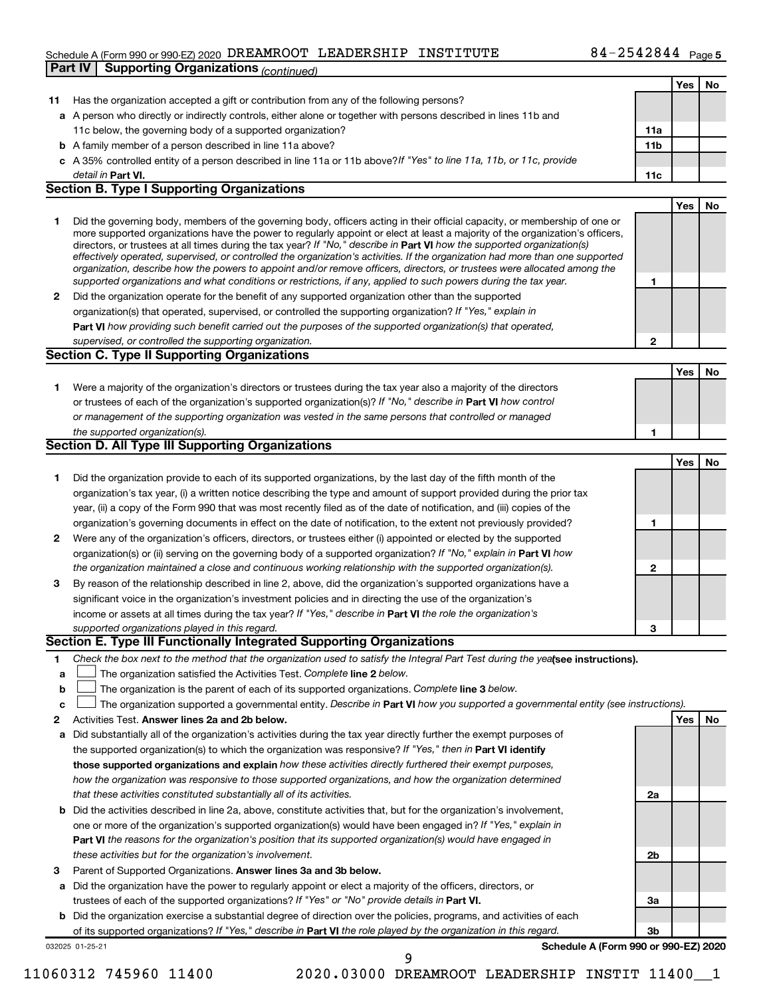**Part IV Supporting Organizations** *(continued)*

|    |                                                                                                                                                                                                                                                           |                 | Yes | No |
|----|-----------------------------------------------------------------------------------------------------------------------------------------------------------------------------------------------------------------------------------------------------------|-----------------|-----|----|
| 11 | Has the organization accepted a gift or contribution from any of the following persons?                                                                                                                                                                   |                 |     |    |
|    | a A person who directly or indirectly controls, either alone or together with persons described in lines 11b and                                                                                                                                          |                 |     |    |
|    | 11c below, the governing body of a supported organization?                                                                                                                                                                                                | 11a             |     |    |
|    | <b>b</b> A family member of a person described in line 11a above?                                                                                                                                                                                         | 11 <sub>b</sub> |     |    |
|    | c A 35% controlled entity of a person described in line 11a or 11b above? If "Yes" to line 11a, 11b, or 11c, provide                                                                                                                                      |                 |     |    |
|    | detail in Part VI.                                                                                                                                                                                                                                        | 11c             |     |    |
|    | <b>Section B. Type I Supporting Organizations</b>                                                                                                                                                                                                         |                 |     |    |
|    |                                                                                                                                                                                                                                                           |                 | Yes | No |
| 1  | Did the governing body, members of the governing body, officers acting in their official capacity, or membership of one or                                                                                                                                |                 |     |    |
|    | more supported organizations have the power to regularly appoint or elect at least a majority of the organization's officers,                                                                                                                             |                 |     |    |
|    | directors, or trustees at all times during the tax year? If "No," describe in Part VI how the supported organization(s)<br>effectively operated, supervised, or controlled the organization's activities. If the organization had more than one supported |                 |     |    |
|    | organization, describe how the powers to appoint and/or remove officers, directors, or trustees were allocated among the                                                                                                                                  |                 |     |    |
|    | supported organizations and what conditions or restrictions, if any, applied to such powers during the tax year.                                                                                                                                          | 1               |     |    |
| 2  | Did the organization operate for the benefit of any supported organization other than the supported                                                                                                                                                       |                 |     |    |
|    | organization(s) that operated, supervised, or controlled the supporting organization? If "Yes," explain in                                                                                                                                                |                 |     |    |
|    | Part VI how providing such benefit carried out the purposes of the supported organization(s) that operated,                                                                                                                                               |                 |     |    |
|    | supervised, or controlled the supporting organization.                                                                                                                                                                                                    | $\mathbf{2}$    |     |    |
|    | <b>Section C. Type II Supporting Organizations</b>                                                                                                                                                                                                        |                 |     |    |
|    |                                                                                                                                                                                                                                                           |                 | Yes | No |
| 1. | Were a majority of the organization's directors or trustees during the tax year also a majority of the directors                                                                                                                                          |                 |     |    |
|    | or trustees of each of the organization's supported organization(s)? If "No," describe in Part VI how control                                                                                                                                             |                 |     |    |
|    | or management of the supporting organization was vested in the same persons that controlled or managed                                                                                                                                                    |                 |     |    |
|    | the supported organization(s).                                                                                                                                                                                                                            | 1               |     |    |
|    | Section D. All Type III Supporting Organizations                                                                                                                                                                                                          |                 |     |    |
|    |                                                                                                                                                                                                                                                           |                 | Yes | No |
| 1  | Did the organization provide to each of its supported organizations, by the last day of the fifth month of the                                                                                                                                            |                 |     |    |
|    | organization's tax year, (i) a written notice describing the type and amount of support provided during the prior tax                                                                                                                                     |                 |     |    |
|    | year, (ii) a copy of the Form 990 that was most recently filed as of the date of notification, and (iii) copies of the                                                                                                                                    |                 |     |    |
|    | organization's governing documents in effect on the date of notification, to the extent not previously provided?                                                                                                                                          | 1               |     |    |
| 2  | Were any of the organization's officers, directors, or trustees either (i) appointed or elected by the supported                                                                                                                                          |                 |     |    |
|    | organization(s) or (ii) serving on the governing body of a supported organization? If "No," explain in Part VI how<br>the organization maintained a close and continuous working relationship with the supported organization(s).                         | $\mathbf{2}$    |     |    |
|    | By reason of the relationship described in line 2, above, did the organization's supported organizations have a                                                                                                                                           |                 |     |    |
| 3  | significant voice in the organization's investment policies and in directing the use of the organization's                                                                                                                                                |                 |     |    |
|    | income or assets at all times during the tax year? If "Yes," describe in Part VI the role the organization's                                                                                                                                              |                 |     |    |
|    | supported organizations played in this regard.                                                                                                                                                                                                            | 3               |     |    |
|    | Section E. Type III Functionally Integrated Supporting Organizations                                                                                                                                                                                      |                 |     |    |
| 1  | Check the box next to the method that the organization used to satisfy the Integral Part Test during the yealsee instructions).                                                                                                                           |                 |     |    |
| a  | The organization satisfied the Activities Test. Complete line 2 below.                                                                                                                                                                                    |                 |     |    |
| b  | The organization is the parent of each of its supported organizations. Complete line 3 below.                                                                                                                                                             |                 |     |    |
| c  | The organization supported a governmental entity. Describe in Part VI how you supported a governmental entity (see instructions).                                                                                                                         |                 |     |    |
| 2  | Activities Test. Answer lines 2a and 2b below.                                                                                                                                                                                                            |                 | Yes | No |
| a  | Did substantially all of the organization's activities during the tax year directly further the exempt purposes of                                                                                                                                        |                 |     |    |
|    | the supported organization(s) to which the organization was responsive? If "Yes," then in Part VI identify                                                                                                                                                |                 |     |    |
|    | those supported organizations and explain how these activities directly furthered their exempt purposes,                                                                                                                                                  |                 |     |    |
|    | how the organization was responsive to those supported organizations, and how the organization determined                                                                                                                                                 |                 |     |    |
|    | that these activities constituted substantially all of its activities.                                                                                                                                                                                    | 2a              |     |    |
| b  | Did the activities described in line 2a, above, constitute activities that, but for the organization's involvement,                                                                                                                                       |                 |     |    |
|    | one or more of the organization's supported organization(s) would have been engaged in? If "Yes," explain in                                                                                                                                              |                 |     |    |
|    | Part VI the reasons for the organization's position that its supported organization(s) would have engaged in                                                                                                                                              |                 |     |    |
|    | these activities but for the organization's involvement.                                                                                                                                                                                                  | 2b              |     |    |
| 3  | Parent of Supported Organizations. Answer lines 3a and 3b below.                                                                                                                                                                                          |                 |     |    |
| а  | Did the organization have the power to regularly appoint or elect a majority of the officers, directors, or                                                                                                                                               |                 |     |    |
|    | trustees of each of the supported organizations? If "Yes" or "No" provide details in Part VI.                                                                                                                                                             | За              |     |    |
|    | <b>b</b> Did the organization exercise a substantial degree of direction over the policies, programs, and activities of each                                                                                                                              |                 |     |    |
|    | of its supported organizations? If "Yes," describe in Part VI the role played by the organization in this regard.                                                                                                                                         | 3b              |     |    |
|    | Schedule A (Form 990 or 990-EZ) 2020<br>032025 01-25-21                                                                                                                                                                                                   |                 |     |    |
|    | 9                                                                                                                                                                                                                                                         |                 |     |    |

<sup>11060312 745960 11400 2020.03000</sup> DREAMROOT LEADERSHIP INSTIT 11400\_\_1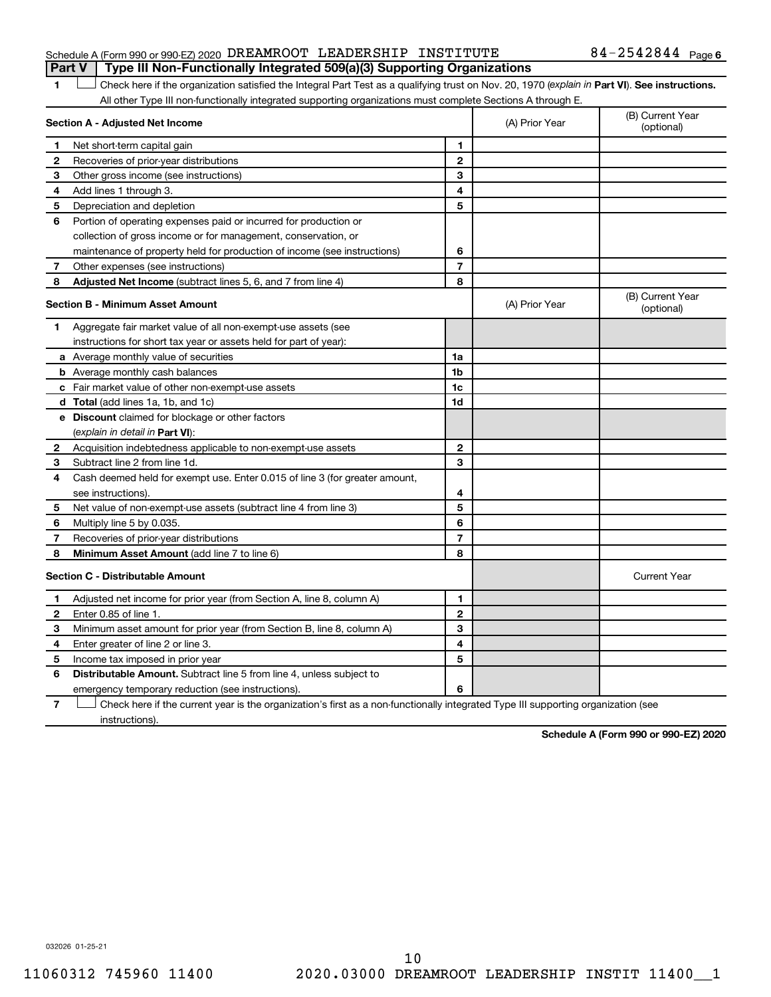# **Part V Type III Non-Functionally Integrated 509(a)(3) Supporting Organizations**

84-2542844 Page 6

1 **Letter See instructions.** Check here if the organization satisfied the Integral Part Test as a qualifying trust on Nov. 20, 1970 (*explain in* Part **VI**). See instructions. All other Type III non-functionally integrated supporting organizations must complete Sections A through E.

|              | Section A - Adjusted Net Income                                             |                | (A) Prior Year | (B) Current Year<br>(optional) |
|--------------|-----------------------------------------------------------------------------|----------------|----------------|--------------------------------|
| 1            | Net short-term capital gain                                                 | 1              |                |                                |
| $\mathbf{2}$ | Recoveries of prior-year distributions                                      | $\mathbf{2}$   |                |                                |
| 3            | Other gross income (see instructions)                                       | 3              |                |                                |
| 4            | Add lines 1 through 3.                                                      | 4              |                |                                |
| 5            | Depreciation and depletion                                                  | 5              |                |                                |
| 6            | Portion of operating expenses paid or incurred for production or            |                |                |                                |
|              | collection of gross income or for management, conservation, or              |                |                |                                |
|              | maintenance of property held for production of income (see instructions)    | 6              |                |                                |
| 7            | Other expenses (see instructions)                                           | $\overline{7}$ |                |                                |
| 8            | Adjusted Net Income (subtract lines 5, 6, and 7 from line 4)                | 8              |                |                                |
|              | <b>Section B - Minimum Asset Amount</b>                                     |                | (A) Prior Year | (B) Current Year<br>(optional) |
| 1            | Aggregate fair market value of all non-exempt-use assets (see               |                |                |                                |
|              | instructions for short tax year or assets held for part of year):           |                |                |                                |
|              | a Average monthly value of securities                                       | 1a             |                |                                |
|              | <b>b</b> Average monthly cash balances                                      | 1b             |                |                                |
|              | c Fair market value of other non-exempt-use assets                          | 1c             |                |                                |
|              | d Total (add lines 1a, 1b, and 1c)                                          | 1d             |                |                                |
|              | e Discount claimed for blockage or other factors                            |                |                |                                |
|              | (explain in detail in Part VI):                                             |                |                |                                |
| $\mathbf{2}$ | Acquisition indebtedness applicable to non-exempt-use assets                | $\mathbf{2}$   |                |                                |
| 3            | Subtract line 2 from line 1d.                                               | 3              |                |                                |
| 4            | Cash deemed held for exempt use. Enter 0.015 of line 3 (for greater amount, |                |                |                                |
|              | see instructions)                                                           | 4              |                |                                |
| 5            | Net value of non-exempt-use assets (subtract line 4 from line 3)            | 5              |                |                                |
| 6            | Multiply line 5 by 0.035.                                                   | 6              |                |                                |
| 7            | Recoveries of prior-year distributions                                      | $\overline{7}$ |                |                                |
| 8            | Minimum Asset Amount (add line 7 to line 6)                                 | 8              |                |                                |
|              | <b>Section C - Distributable Amount</b>                                     |                |                | <b>Current Year</b>            |
| 1            | Adjusted net income for prior year (from Section A, line 8, column A)       | 1              |                |                                |
| 2            | Enter 0.85 of line 1.                                                       | $\mathbf{2}$   |                |                                |
| 3            | Minimum asset amount for prior year (from Section B, line 8, column A)      | 3              |                |                                |
| 4            | Enter greater of line 2 or line 3.                                          | 4              |                |                                |
| 5            | Income tax imposed in prior year                                            | 5              |                |                                |
| 6            | <b>Distributable Amount.</b> Subtract line 5 from line 4, unless subject to |                |                |                                |
|              | emergency temporary reduction (see instructions).                           | 6              |                |                                |
|              |                                                                             |                |                |                                |

**7** Check here if the current year is the organization's first as a non-functionally integrated Type III supporting organization (see † instructions).

**Schedule A (Form 990 or 990-EZ) 2020**

032026 01-25-21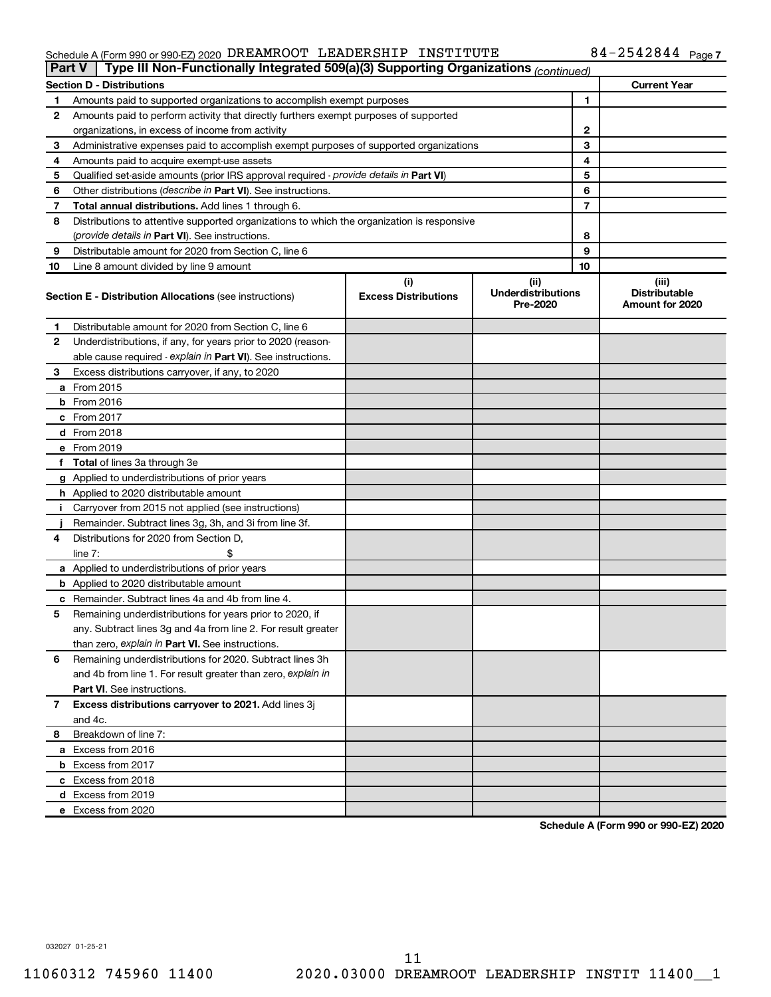#### $S$ chedule A (Form 990 or 990-EZ) 2020 DREAMROOT LEADERSHIP INSTITUTE  $\overline{S}$   $\overline{S}$ DREAMROOT LEADERSHIP INSTITUTE 84-2542844

|    | Type III Non-Functionally Integrated 509(a)(3) Supporting Organizations (continued)<br><b>Part V</b> |                             |                                       |    |                                         |
|----|------------------------------------------------------------------------------------------------------|-----------------------------|---------------------------------------|----|-----------------------------------------|
|    | <b>Section D - Distributions</b>                                                                     |                             |                                       |    | <b>Current Year</b>                     |
| 1  | Amounts paid to supported organizations to accomplish exempt purposes                                |                             | 1                                     |    |                                         |
| 2  | Amounts paid to perform activity that directly furthers exempt purposes of supported                 |                             |                                       |    |                                         |
|    | organizations, in excess of income from activity                                                     |                             |                                       | 2  |                                         |
| 3  | Administrative expenses paid to accomplish exempt purposes of supported organizations                |                             |                                       | 3  |                                         |
| 4  | Amounts paid to acquire exempt-use assets                                                            |                             |                                       | 4  |                                         |
| 5  | Qualified set-aside amounts (prior IRS approval required - provide details in Part VI)               |                             |                                       | 5  |                                         |
| 6  | Other distributions ( <i>describe in Part VI</i> ). See instructions.                                |                             |                                       | 6  |                                         |
| 7  | Total annual distributions. Add lines 1 through 6.                                                   |                             |                                       | 7  |                                         |
| 8  | Distributions to attentive supported organizations to which the organization is responsive           |                             |                                       |    |                                         |
|    | (provide details in Part VI). See instructions.                                                      |                             |                                       | 8  |                                         |
| 9  | Distributable amount for 2020 from Section C, line 6                                                 |                             |                                       | 9  |                                         |
| 10 | Line 8 amount divided by line 9 amount                                                               |                             |                                       | 10 |                                         |
|    |                                                                                                      | (i)                         | (ii)                                  |    | (iii)                                   |
|    | <b>Section E - Distribution Allocations (see instructions)</b>                                       | <b>Excess Distributions</b> | <b>Underdistributions</b><br>Pre-2020 |    | <b>Distributable</b><br>Amount for 2020 |
| 1  | Distributable amount for 2020 from Section C, line 6                                                 |                             |                                       |    |                                         |
| 2  | Underdistributions, if any, for years prior to 2020 (reason-                                         |                             |                                       |    |                                         |
|    | able cause required - explain in Part VI). See instructions.                                         |                             |                                       |    |                                         |
| 3  | Excess distributions carryover, if any, to 2020                                                      |                             |                                       |    |                                         |
|    | a From 2015                                                                                          |                             |                                       |    |                                         |
|    | $b$ From 2016                                                                                        |                             |                                       |    |                                         |
|    | c From 2017                                                                                          |                             |                                       |    |                                         |
|    | <b>d</b> From 2018                                                                                   |                             |                                       |    |                                         |
|    | e From 2019                                                                                          |                             |                                       |    |                                         |
|    | f Total of lines 3a through 3e                                                                       |                             |                                       |    |                                         |
|    | g Applied to underdistributions of prior years                                                       |                             |                                       |    |                                         |
|    | <b>h</b> Applied to 2020 distributable amount                                                        |                             |                                       |    |                                         |
| Ť. | Carryover from 2015 not applied (see instructions)                                                   |                             |                                       |    |                                         |
|    | Remainder. Subtract lines 3g, 3h, and 3i from line 3f.                                               |                             |                                       |    |                                         |
| 4  | Distributions for 2020 from Section D,                                                               |                             |                                       |    |                                         |
|    | line $7:$                                                                                            |                             |                                       |    |                                         |
|    | a Applied to underdistributions of prior years                                                       |                             |                                       |    |                                         |
|    | <b>b</b> Applied to 2020 distributable amount                                                        |                             |                                       |    |                                         |
|    | c Remainder. Subtract lines 4a and 4b from line 4.                                                   |                             |                                       |    |                                         |
| 5  | Remaining underdistributions for years prior to 2020, if                                             |                             |                                       |    |                                         |
|    | any. Subtract lines 3g and 4a from line 2. For result greater                                        |                             |                                       |    |                                         |
|    | than zero, explain in Part VI. See instructions.                                                     |                             |                                       |    |                                         |
| 6  | Remaining underdistributions for 2020. Subtract lines 3h                                             |                             |                                       |    |                                         |
|    | and 4b from line 1. For result greater than zero, explain in                                         |                             |                                       |    |                                         |
|    | <b>Part VI.</b> See instructions.                                                                    |                             |                                       |    |                                         |
| 7  | Excess distributions carryover to 2021. Add lines 3j                                                 |                             |                                       |    |                                         |
|    | and 4c.                                                                                              |                             |                                       |    |                                         |
| 8  | Breakdown of line 7:                                                                                 |                             |                                       |    |                                         |
|    | a Excess from 2016                                                                                   |                             |                                       |    |                                         |
|    | <b>b</b> Excess from 2017                                                                            |                             |                                       |    |                                         |
|    | c Excess from 2018                                                                                   |                             |                                       |    |                                         |
|    | d Excess from 2019                                                                                   |                             |                                       |    |                                         |
|    | e Excess from 2020                                                                                   |                             |                                       |    |                                         |
|    |                                                                                                      |                             |                                       |    |                                         |

**Schedule A (Form 990 or 990-EZ) 2020**

032027 01-25-21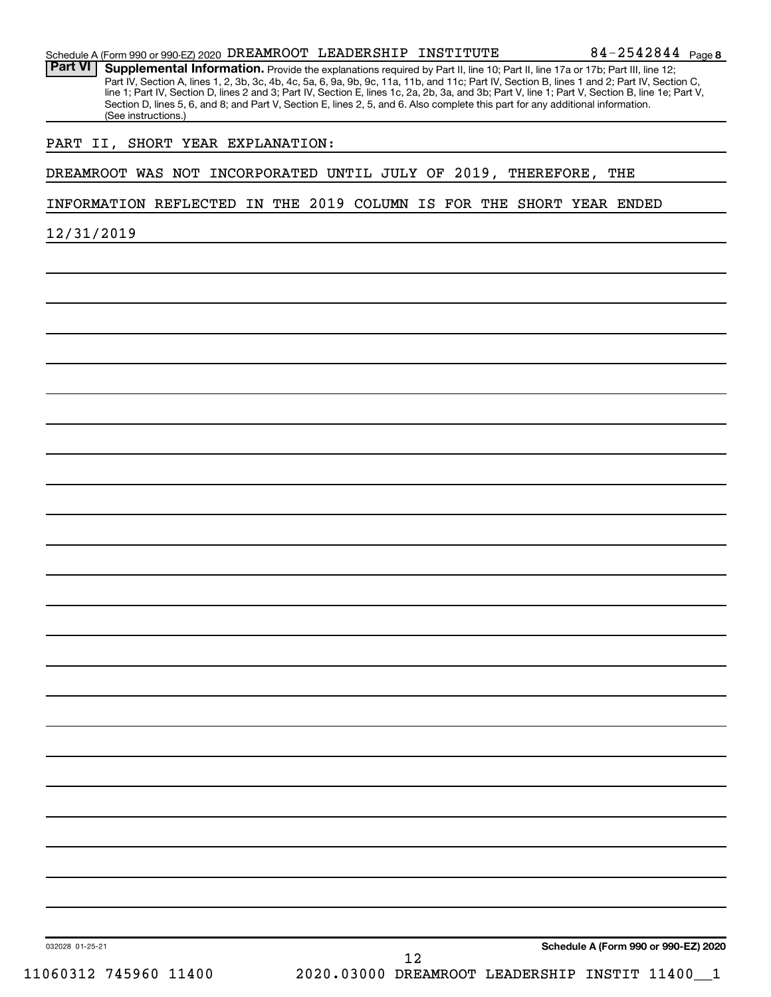| (See instructions.)                                                  | Section D, lines 5, 6, and 8; and Part V, Section E, lines 2, 5, and 6. Also complete this part for any additional information. |  |    |  | Supplemental Information. Provide the explanations required by Part II, line 10; Part II, line 17a or 17b; Part III, line 12;<br>Part IV, Section A, lines 1, 2, 3b, 3c, 4b, 4c, 5a, 6, 9a, 9b, 9c, 11a, 11b, and 11c; Part IV, Section B, lines 1 and 2; Part IV, Section C,<br>line 1; Part IV, Section D, lines 2 and 3; Part IV, Section E, lines 1c, 2a, 2b, 3a, and 3b; Part V, line 1; Part V, Section B, line 1e; Part V, |
|----------------------------------------------------------------------|---------------------------------------------------------------------------------------------------------------------------------|--|----|--|-----------------------------------------------------------------------------------------------------------------------------------------------------------------------------------------------------------------------------------------------------------------------------------------------------------------------------------------------------------------------------------------------------------------------------------|
| PART II, SHORT YEAR EXPLANATION:                                     |                                                                                                                                 |  |    |  |                                                                                                                                                                                                                                                                                                                                                                                                                                   |
| DREAMROOT WAS NOT INCORPORATED UNTIL JULY OF 2019, THEREFORE, THE    |                                                                                                                                 |  |    |  |                                                                                                                                                                                                                                                                                                                                                                                                                                   |
| INFORMATION REFLECTED IN THE 2019 COLUMN IS FOR THE SHORT YEAR ENDED |                                                                                                                                 |  |    |  |                                                                                                                                                                                                                                                                                                                                                                                                                                   |
| 12/31/2019                                                           |                                                                                                                                 |  |    |  |                                                                                                                                                                                                                                                                                                                                                                                                                                   |
|                                                                      |                                                                                                                                 |  |    |  |                                                                                                                                                                                                                                                                                                                                                                                                                                   |
|                                                                      |                                                                                                                                 |  |    |  |                                                                                                                                                                                                                                                                                                                                                                                                                                   |
|                                                                      |                                                                                                                                 |  |    |  |                                                                                                                                                                                                                                                                                                                                                                                                                                   |
|                                                                      |                                                                                                                                 |  |    |  |                                                                                                                                                                                                                                                                                                                                                                                                                                   |
|                                                                      |                                                                                                                                 |  |    |  |                                                                                                                                                                                                                                                                                                                                                                                                                                   |
|                                                                      |                                                                                                                                 |  |    |  |                                                                                                                                                                                                                                                                                                                                                                                                                                   |
|                                                                      |                                                                                                                                 |  |    |  |                                                                                                                                                                                                                                                                                                                                                                                                                                   |
|                                                                      |                                                                                                                                 |  |    |  |                                                                                                                                                                                                                                                                                                                                                                                                                                   |
|                                                                      |                                                                                                                                 |  |    |  |                                                                                                                                                                                                                                                                                                                                                                                                                                   |
|                                                                      |                                                                                                                                 |  |    |  |                                                                                                                                                                                                                                                                                                                                                                                                                                   |
|                                                                      |                                                                                                                                 |  |    |  |                                                                                                                                                                                                                                                                                                                                                                                                                                   |
|                                                                      |                                                                                                                                 |  |    |  |                                                                                                                                                                                                                                                                                                                                                                                                                                   |
|                                                                      |                                                                                                                                 |  |    |  |                                                                                                                                                                                                                                                                                                                                                                                                                                   |
|                                                                      |                                                                                                                                 |  |    |  |                                                                                                                                                                                                                                                                                                                                                                                                                                   |
|                                                                      |                                                                                                                                 |  |    |  |                                                                                                                                                                                                                                                                                                                                                                                                                                   |
|                                                                      |                                                                                                                                 |  |    |  |                                                                                                                                                                                                                                                                                                                                                                                                                                   |
|                                                                      |                                                                                                                                 |  |    |  |                                                                                                                                                                                                                                                                                                                                                                                                                                   |
|                                                                      |                                                                                                                                 |  |    |  |                                                                                                                                                                                                                                                                                                                                                                                                                                   |
|                                                                      |                                                                                                                                 |  |    |  |                                                                                                                                                                                                                                                                                                                                                                                                                                   |
|                                                                      |                                                                                                                                 |  |    |  |                                                                                                                                                                                                                                                                                                                                                                                                                                   |
|                                                                      |                                                                                                                                 |  |    |  |                                                                                                                                                                                                                                                                                                                                                                                                                                   |
|                                                                      |                                                                                                                                 |  |    |  |                                                                                                                                                                                                                                                                                                                                                                                                                                   |
|                                                                      |                                                                                                                                 |  |    |  |                                                                                                                                                                                                                                                                                                                                                                                                                                   |
|                                                                      |                                                                                                                                 |  |    |  |                                                                                                                                                                                                                                                                                                                                                                                                                                   |
|                                                                      |                                                                                                                                 |  |    |  |                                                                                                                                                                                                                                                                                                                                                                                                                                   |
|                                                                      |                                                                                                                                 |  |    |  |                                                                                                                                                                                                                                                                                                                                                                                                                                   |
|                                                                      |                                                                                                                                 |  |    |  |                                                                                                                                                                                                                                                                                                                                                                                                                                   |
| 032028 01-25-21                                                      |                                                                                                                                 |  | 12 |  | Schedule A (Form 990 or 990-EZ) 2020                                                                                                                                                                                                                                                                                                                                                                                              |

 $84 - 2542844$  Page 8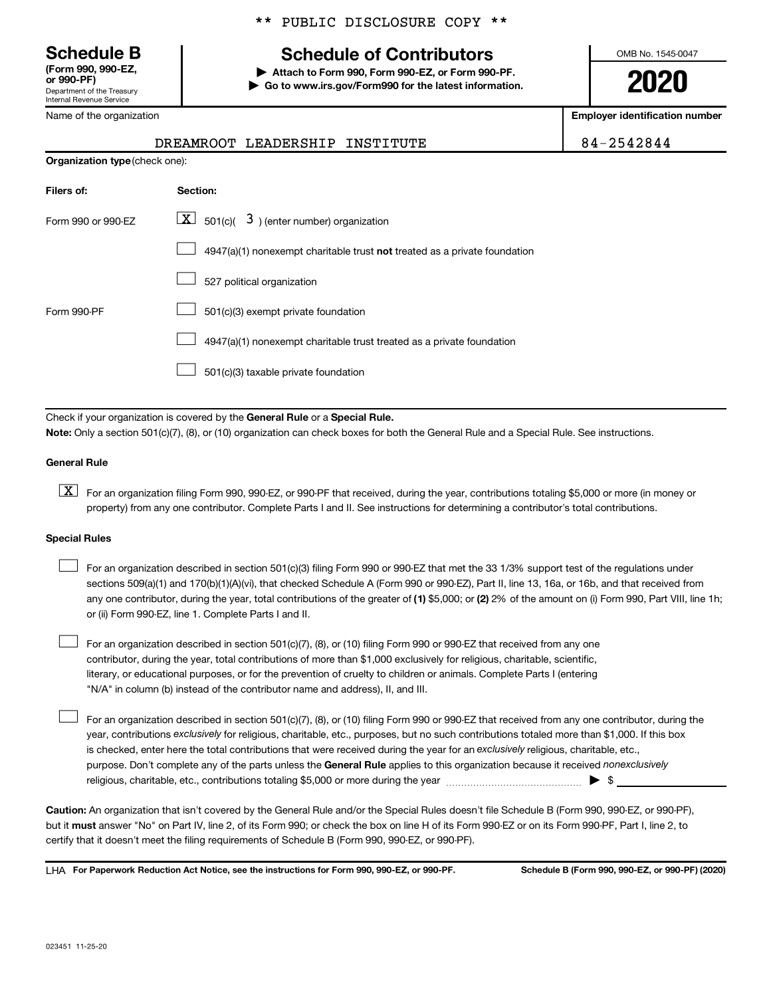**(Form 990, 990-EZ,**

Department of the Treasury Internal Revenue Service

Name of the organization

**Filers** 

# **Schedule B Schedule of Contributors**

**or 990-PF) | Attach to Form 990, Form 990-EZ, or Form 990-PF. | Go to www.irs.gov/Form990 for the latest information.** OMB No. 1545-0047

**2020**

**Employer identification number**

84-2542844

|                                       |          | DREAMROOT LEADERSHIP INSTITUTE                              |  |
|---------------------------------------|----------|-------------------------------------------------------------|--|
| <b>Organization type</b> (check one): |          |                                                             |  |
| Filers of:                            | Section: |                                                             |  |
| Form 990 or 990-EZ                    |          | $\boxed{\mathbf{X}}$ 501(c)( 3) (enter number) organization |  |

|             | 4947(a)(1) nonexempt charitable trust not treated as a private foundation |
|-------------|---------------------------------------------------------------------------|
|             | 527 political organization                                                |
| Form 990-PF | 501(c)(3) exempt private foundation                                       |
|             | 4947(a)(1) nonexempt charitable trust treated as a private foundation     |
|             | 501(c)(3) taxable private foundation                                      |

Check if your organization is covered by the General Rule or a Special Rule. **Note:**  Only a section 501(c)(7), (8), or (10) organization can check boxes for both the General Rule and a Special Rule. See instructions.

#### **General Rule**

**K** For an organization filing Form 990, 990-EZ, or 990-PF that received, during the year, contributions totaling \$5,000 or more (in money or property) from any one contributor. Complete Parts I and II. See instructions for determining a contributor's total contributions.

#### **Special Rules**

 $\Box$ 

any one contributor, during the year, total contributions of the greater of (1) \$5,000; or (2) 2% of the amount on (i) Form 990, Part VIII, line 1h; For an organization described in section 501(c)(3) filing Form 990 or 990-EZ that met the 33 1/3% support test of the regulations under sections 509(a)(1) and 170(b)(1)(A)(vi), that checked Schedule A (Form 990 or 990-EZ), Part II, line 13, 16a, or 16b, and that received from or (ii) Form 990-EZ, line 1. Complete Parts I and II.  $\Box$ 

For an organization described in section 501(c)(7), (8), or (10) filing Form 990 or 990-EZ that received from any one contributor, during the year, total contributions of more than \$1,000 exclusively for religious, charitable, scientific, literary, or educational purposes, or for the prevention of cruelty to children or animals. Complete Parts I (entering "N/A" in column (b) instead of the contributor name and address), II, and III.  $\Box$ 

purpose. Don't complete any of the parts unless the General Rule applies to this organization because it received nonexclusively year, contributions exclusively for religious, charitable, etc., purposes, but no such contributions totaled more than \$1,000. If this box is checked, enter here the total contributions that were received during the year for an exclusively religious, charitable, etc., For an organization described in section 501(c)(7), (8), or (10) filing Form 990 or 990-EZ that received from any one contributor, during the religious, charitable, etc., contributions totaling \$5,000 or more during the year  $~\ldots\ldots\ldots\ldots\ldots\ldots\ldots\ldots\blacktriangleright~$ \$

**Caution:**  An organization that isn't covered by the General Rule and/or the Special Rules doesn't file Schedule B (Form 990, 990-EZ, or 990-PF),  **must** but it answer "No" on Part IV, line 2, of its Form 990; or check the box on line H of its Form 990-EZ or on its Form 990-PF, Part I, line 2, to certify that it doesn't meet the filing requirements of Schedule B (Form 990, 990-EZ, or 990-PF).

**For Paperwork Reduction Act Notice, see the instructions for Form 990, 990-EZ, or 990-PF. Schedule B (Form 990, 990-EZ, or 990-PF) (2020)** LHA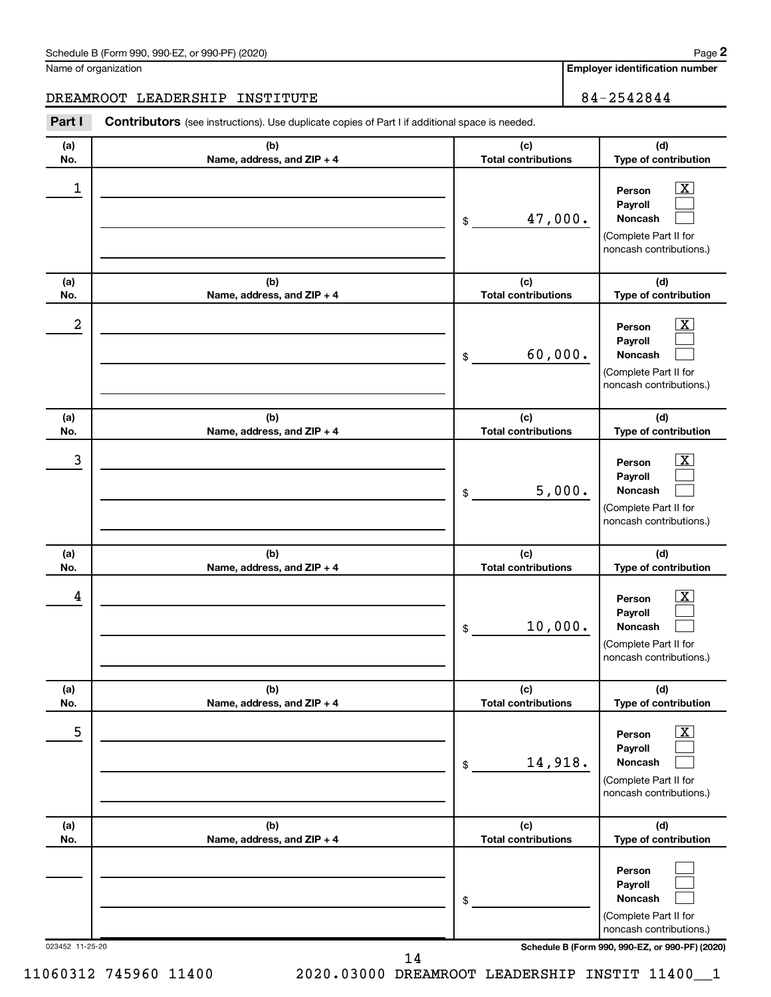Name of organization

**Employer identification number**

#### DREAMROOT LEADERSHIP INSTITUTE 84-2542844

**(a) No. (b) Name, address, and ZIP + 4 (c) Total contributions (d) Type of contribution Person Payroll Noncash (a) No. (b) Name, address, and ZIP + 4 (c) Total contributions (d) Type of contribution Person Payroll Noncash (a) No. (b) Name, address, and ZIP + 4 (c) Total contributions (d) Type of contribution Person Payroll Noncash (a) No. (b) Name, address, and ZIP + 4 (c) Total contributions (d) Type of contribution Person Payroll Noncash (a) No. (b) Name, address, and ZIP + 4 (c) Total contributions (d) Type of contribution Person Payroll Noncash (a) No. (b) Name, address, and ZIP + 4 (c) Total contributions (d) Type of contribution Person Payroll Noncash Part I** Contributors (see instructions). Use duplicate copies of Part I if additional space is needed. \$ (Complete Part II for noncash contributions.) \$ (Complete Part II for noncash contributions.) \$ (Complete Part II for noncash contributions.) \$ (Complete Part II for noncash contributions.) \$ (Complete Part II for noncash contributions.) \$ (Complete Part II for noncash contributions.)  $\lfloor x \rfloor$  $\Box$  $\Box$  $\overline{\mathbf{X}}$  $\Box$  $\Box$  $\boxed{\textbf{X}}$  $\Box$  $\Box$  $\boxed{\textbf{X}}$  $\Box$  $\Box$  $\boxed{\text{X}}$  $\Box$  $\Box$  $\Box$  $\Box$  $\Box$  $\begin{array}{|c|c|c|c|c|}\hline \ \text{1} & \text{Person} & \text{X} \ \hline \end{array}$ 47,000.  $2$  Person  $\overline{\text{X}}$ 60,000.  $\begin{array}{|c|c|c|c|c|c|}\hline \text{3} & \text{Person} & \text{X} \ \hline \end{array}$ 5,000.  $\begin{array}{|c|c|c|c|c|}\hline \text{4} & \text{Person} & \text{\textbf{X}}\ \hline \end{array}$ 10,000. 5 X 14,918.

023452 11-25-20 **Schedule B (Form 990, 990-EZ, or 990-PF) (2020)**

14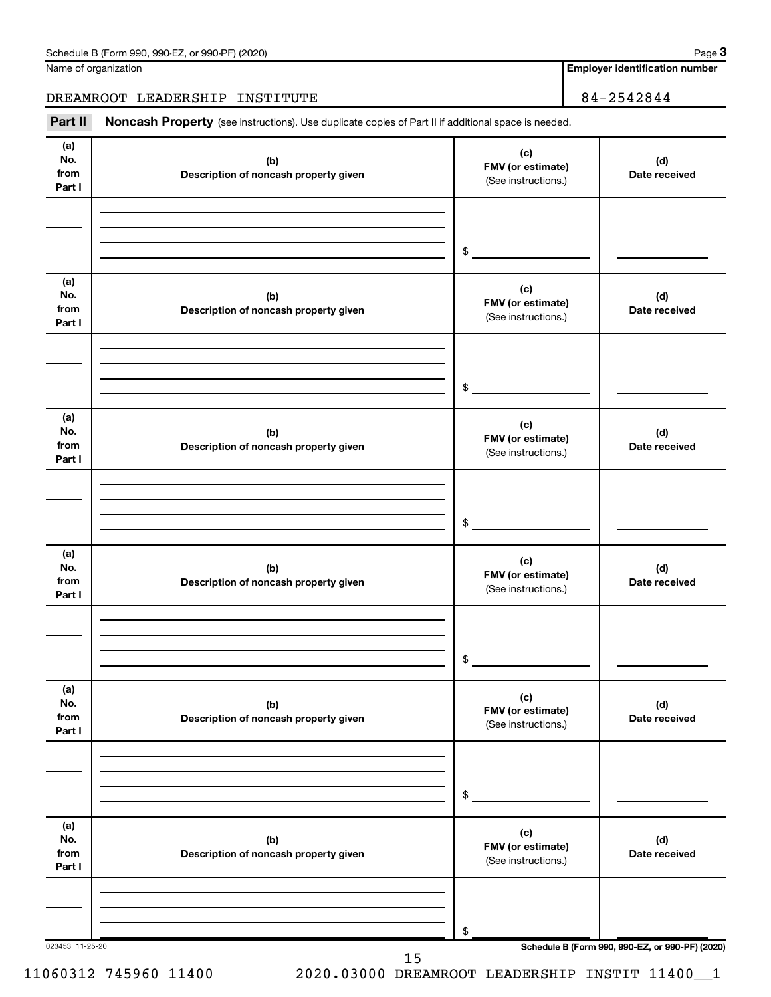Name of organization

**Employer identification number**

# DREAMROOT LEADERSHIP INSTITUTE 84-2542844

Part II Noncash Property (see instructions). Use duplicate copies of Part II if additional space is needed.

| (a)                          |                                              | (c)                                             |                                                 |
|------------------------------|----------------------------------------------|-------------------------------------------------|-------------------------------------------------|
| No.<br>from<br>Part I        | (b)<br>Description of noncash property given | FMV (or estimate)<br>(See instructions.)        | (d)<br>Date received                            |
|                              |                                              |                                                 |                                                 |
|                              |                                              | $\frac{1}{2}$                                   |                                                 |
| (a)<br>No.<br>from<br>Part I | (b)<br>Description of noncash property given | (c)<br>FMV (or estimate)<br>(See instructions.) | (d)<br>Date received                            |
|                              |                                              | $\frac{1}{2}$                                   |                                                 |
| (a)<br>No.<br>from<br>Part I | (b)<br>Description of noncash property given | (c)<br>FMV (or estimate)<br>(See instructions.) | (d)<br>Date received                            |
|                              |                                              | $\frac{1}{2}$                                   |                                                 |
| (a)<br>No.<br>from<br>Part I | (b)<br>Description of noncash property given | (c)<br>FMV (or estimate)<br>(See instructions.) | (d)<br>Date received                            |
|                              |                                              | $$^{\circ}$                                     |                                                 |
| (a)<br>No.<br>from<br>Part I | (b)<br>Description of noncash property given | (c)<br>FMV (or estimate)<br>(See instructions.) | (d)<br>Date received                            |
|                              |                                              | \$                                              |                                                 |
| (a)<br>No.<br>from<br>Part I | (b)<br>Description of noncash property given | (c)<br>FMV (or estimate)<br>(See instructions.) | (d)<br>Date received                            |
|                              |                                              | \$                                              |                                                 |
| 023453 11-25-20              | 15                                           |                                                 | Schedule B (Form 990, 990-EZ, or 990-PF) (2020) |

**3**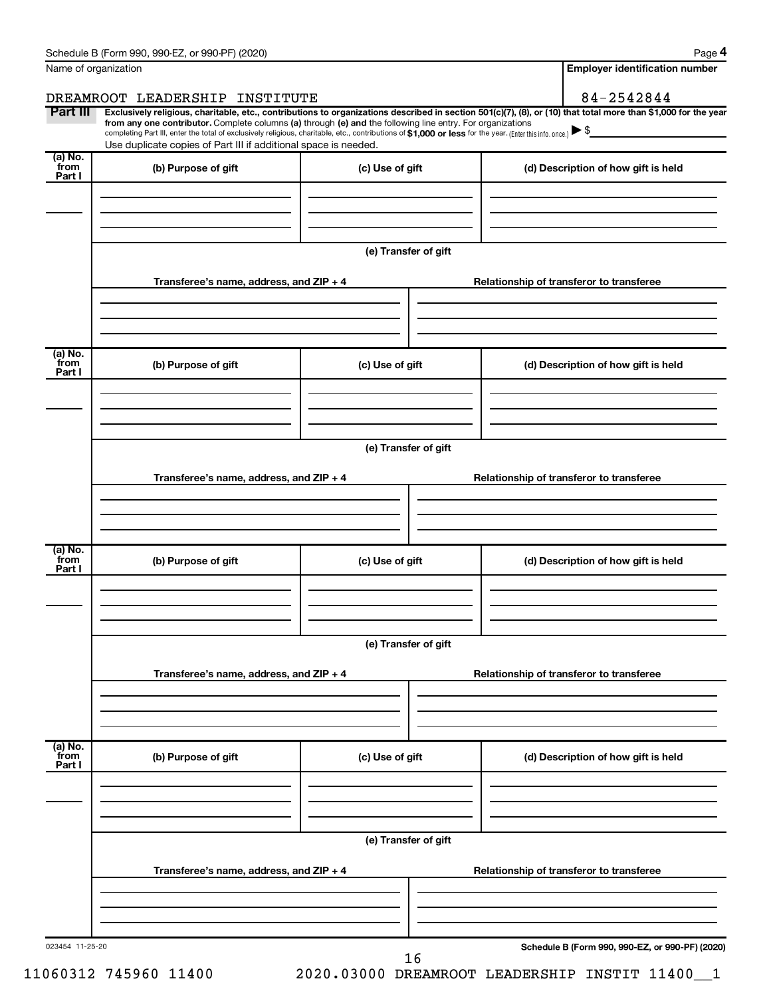|                           | Schedule B (Form 990, 990-EZ, or 990-PF) (2020)                                                                                                                                                                             |                      | Page 4                                                                                                                                                         |  |  |  |  |  |  |
|---------------------------|-----------------------------------------------------------------------------------------------------------------------------------------------------------------------------------------------------------------------------|----------------------|----------------------------------------------------------------------------------------------------------------------------------------------------------------|--|--|--|--|--|--|
|                           | Name of organization                                                                                                                                                                                                        |                      | <b>Employer identification number</b>                                                                                                                          |  |  |  |  |  |  |
|                           | DREAMROOT LEADERSHIP INSTITUTE                                                                                                                                                                                              |                      | 84-2542844                                                                                                                                                     |  |  |  |  |  |  |
| Part III                  | from any one contributor. Complete columns (a) through (e) and the following line entry. For organizations                                                                                                                  |                      | Exclusively religious, charitable, etc., contributions to organizations described in section 501(c)(7), (8), or (10) that total more than \$1,000 for the year |  |  |  |  |  |  |
|                           | completing Part III, enter the total of exclusively religious, charitable, etc., contributions of \$1,000 or less for the year. (Enter this info. once.)<br>Use duplicate copies of Part III if additional space is needed. |                      |                                                                                                                                                                |  |  |  |  |  |  |
| (a) No.<br>from           | (b) Purpose of gift                                                                                                                                                                                                         | (c) Use of gift      |                                                                                                                                                                |  |  |  |  |  |  |
| Part I                    |                                                                                                                                                                                                                             |                      | (d) Description of how gift is held                                                                                                                            |  |  |  |  |  |  |
|                           |                                                                                                                                                                                                                             | (e) Transfer of gift |                                                                                                                                                                |  |  |  |  |  |  |
|                           | Transferee's name, address, and ZIP + 4                                                                                                                                                                                     |                      | Relationship of transferor to transferee                                                                                                                       |  |  |  |  |  |  |
|                           |                                                                                                                                                                                                                             |                      |                                                                                                                                                                |  |  |  |  |  |  |
| (a) No.                   |                                                                                                                                                                                                                             |                      |                                                                                                                                                                |  |  |  |  |  |  |
| from<br>Part I            | (b) Purpose of gift                                                                                                                                                                                                         | (c) Use of gift      | (d) Description of how gift is held                                                                                                                            |  |  |  |  |  |  |
|                           |                                                                                                                                                                                                                             |                      |                                                                                                                                                                |  |  |  |  |  |  |
|                           |                                                                                                                                                                                                                             | (e) Transfer of gift |                                                                                                                                                                |  |  |  |  |  |  |
|                           | Transferee's name, address, and ZIP + 4                                                                                                                                                                                     |                      | Relationship of transferor to transferee                                                                                                                       |  |  |  |  |  |  |
|                           |                                                                                                                                                                                                                             |                      |                                                                                                                                                                |  |  |  |  |  |  |
|                           |                                                                                                                                                                                                                             |                      |                                                                                                                                                                |  |  |  |  |  |  |
| (a) No.<br>from<br>Part I | (b) Purpose of gift                                                                                                                                                                                                         | (c) Use of gift      | (d) Description of how gift is held                                                                                                                            |  |  |  |  |  |  |
|                           |                                                                                                                                                                                                                             |                      |                                                                                                                                                                |  |  |  |  |  |  |
|                           |                                                                                                                                                                                                                             |                      |                                                                                                                                                                |  |  |  |  |  |  |
|                           | (e) Transfer of gift                                                                                                                                                                                                        |                      |                                                                                                                                                                |  |  |  |  |  |  |
|                           | Transferee's name, address, and ZIP + 4                                                                                                                                                                                     |                      | Relationship of transferor to transferee                                                                                                                       |  |  |  |  |  |  |
|                           |                                                                                                                                                                                                                             |                      |                                                                                                                                                                |  |  |  |  |  |  |
| (a) No.<br>from           | (b) Purpose of gift                                                                                                                                                                                                         | (c) Use of gift      | (d) Description of how gift is held                                                                                                                            |  |  |  |  |  |  |
| Part I                    |                                                                                                                                                                                                                             |                      |                                                                                                                                                                |  |  |  |  |  |  |
|                           |                                                                                                                                                                                                                             |                      |                                                                                                                                                                |  |  |  |  |  |  |
|                           |                                                                                                                                                                                                                             | (e) Transfer of gift |                                                                                                                                                                |  |  |  |  |  |  |
|                           | Transferee's name, address, and ZIP + 4                                                                                                                                                                                     |                      | Relationship of transferor to transferee                                                                                                                       |  |  |  |  |  |  |
|                           |                                                                                                                                                                                                                             |                      |                                                                                                                                                                |  |  |  |  |  |  |
| 023454 11-25-20           |                                                                                                                                                                                                                             | 16                   | Schedule B (Form 990, 990-EZ, or 990-PF) (2020)                                                                                                                |  |  |  |  |  |  |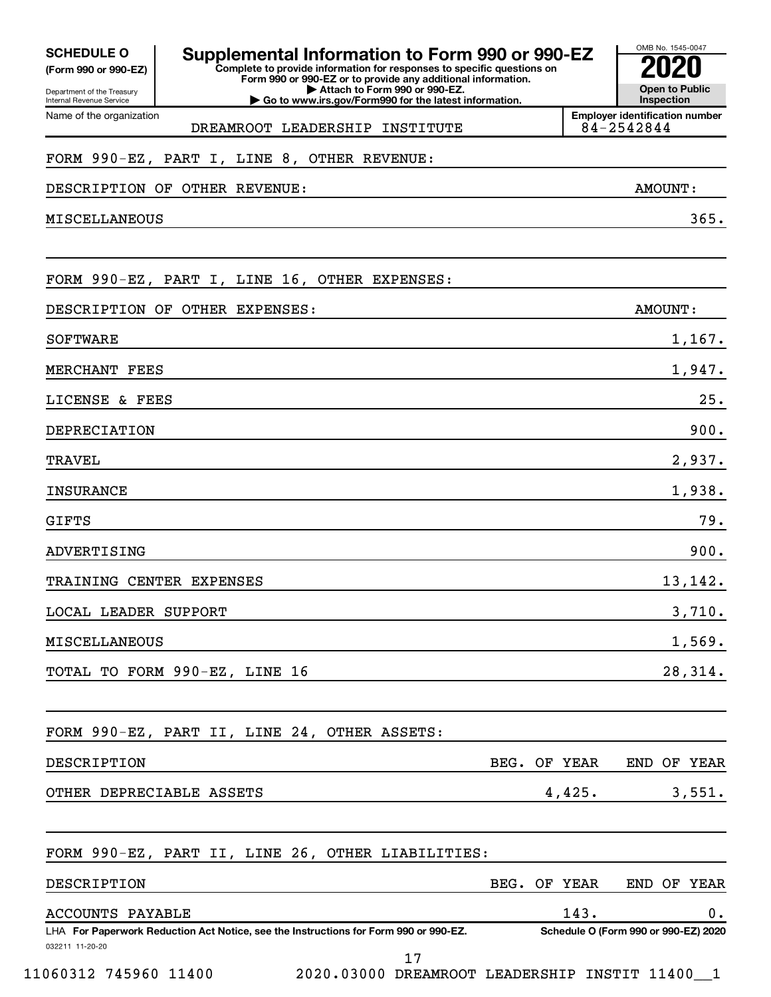| <b>SCHEDULE O</b><br>(Form 990 or 990-EZ)              | Supplemental Information to Form 990 or 990-EZ<br>Complete to provide information for responses to specific questions on |  |                                                                                                                                                        |  |                                      |                                       | OMB No. 1545-0047                          |             |
|--------------------------------------------------------|--------------------------------------------------------------------------------------------------------------------------|--|--------------------------------------------------------------------------------------------------------------------------------------------------------|--|--------------------------------------|---------------------------------------|--------------------------------------------|-------------|
| Department of the Treasury<br>Internal Revenue Service |                                                                                                                          |  | Form 990 or 990-EZ or to provide any additional information.<br>Attach to Form 990 or 990-EZ.<br>Go to www.irs.gov/Form990 for the latest information. |  |                                      |                                       | <b>Open to Public</b><br><b>Inspection</b> |             |
| Name of the organization                               |                                                                                                                          |  |                                                                                                                                                        |  |                                      | <b>Employer identification number</b> |                                            |             |
|                                                        | DREAMROOT LEADERSHIP INSTITUTE                                                                                           |  |                                                                                                                                                        |  |                                      | 84-2542844                            |                                            |             |
|                                                        | FORM 990-EZ, PART I, LINE 8, OTHER REVENUE:                                                                              |  |                                                                                                                                                        |  |                                      |                                       |                                            |             |
|                                                        | DESCRIPTION OF OTHER REVENUE:                                                                                            |  |                                                                                                                                                        |  |                                      |                                       | AMOUNT:                                    |             |
| MISCELLANEOUS                                          |                                                                                                                          |  |                                                                                                                                                        |  |                                      |                                       |                                            | 365.        |
|                                                        | FORM 990-EZ, PART I, LINE 16, OTHER EXPENSES:                                                                            |  |                                                                                                                                                        |  |                                      |                                       |                                            |             |
|                                                        | DESCRIPTION OF OTHER EXPENSES:                                                                                           |  |                                                                                                                                                        |  |                                      |                                       | AMOUNT:                                    |             |
| <b>SOFTWARE</b>                                        |                                                                                                                          |  |                                                                                                                                                        |  |                                      |                                       |                                            | 1,167.      |
| MERCHANT FEES                                          |                                                                                                                          |  |                                                                                                                                                        |  |                                      |                                       |                                            | 1,947.      |
| LICENSE & FEES                                         |                                                                                                                          |  |                                                                                                                                                        |  |                                      |                                       |                                            | 25.         |
| DEPRECIATION                                           |                                                                                                                          |  |                                                                                                                                                        |  |                                      |                                       |                                            | 900.        |
| TRAVEL                                                 |                                                                                                                          |  |                                                                                                                                                        |  |                                      |                                       |                                            | 2,937.      |
| <b>INSURANCE</b>                                       |                                                                                                                          |  |                                                                                                                                                        |  |                                      |                                       |                                            | 1,938.      |
| GIFTS                                                  |                                                                                                                          |  |                                                                                                                                                        |  |                                      |                                       |                                            | 79.         |
| ADVERTISING                                            |                                                                                                                          |  |                                                                                                                                                        |  |                                      |                                       |                                            | 900.        |
| TRAINING CENTER EXPENSES                               |                                                                                                                          |  |                                                                                                                                                        |  |                                      |                                       |                                            | 13,142.     |
| LOCAL LEADER SUPPORT                                   |                                                                                                                          |  |                                                                                                                                                        |  |                                      |                                       |                                            | 3,710.      |
| <b>MISCELLANEOUS</b>                                   |                                                                                                                          |  |                                                                                                                                                        |  |                                      |                                       |                                            | 1,569.      |
|                                                        | TOTAL TO FORM 990-EZ, LINE 16                                                                                            |  |                                                                                                                                                        |  |                                      |                                       |                                            | 28,314.     |
|                                                        | FORM 990-EZ, PART II, LINE 24, OTHER ASSETS:                                                                             |  |                                                                                                                                                        |  |                                      |                                       |                                            |             |
| DESCRIPTION                                            |                                                                                                                          |  |                                                                                                                                                        |  | BEG. OF YEAR                         |                                       |                                            | END OF YEAR |
| OTHER DEPRECIABLE ASSETS                               |                                                                                                                          |  |                                                                                                                                                        |  | 4,425.                               |                                       |                                            | 3,551.      |
|                                                        | FORM 990-EZ, PART II, LINE 26, OTHER LIABILITIES:                                                                        |  |                                                                                                                                                        |  |                                      |                                       |                                            |             |
| DESCRIPTION                                            |                                                                                                                          |  |                                                                                                                                                        |  | BEG. OF YEAR                         |                                       |                                            | END OF YEAR |
| <b>ACCOUNTS PAYABLE</b>                                |                                                                                                                          |  |                                                                                                                                                        |  | 143.                                 |                                       |                                            | 0.          |
| 032211 11-20-20                                        | LHA For Paperwork Reduction Act Notice, see the Instructions for Form 990 or 990-EZ.                                     |  |                                                                                                                                                        |  | Schedule O (Form 990 or 990-EZ) 2020 |                                       |                                            |             |
| 0.60312.715060.11100                                   |                                                                                                                          |  | 17<br>1 11100 12000 בדעסססת דידוס המתחות המחורש המחלה הכחל                                                                                             |  |                                      |                                       |                                            |             |